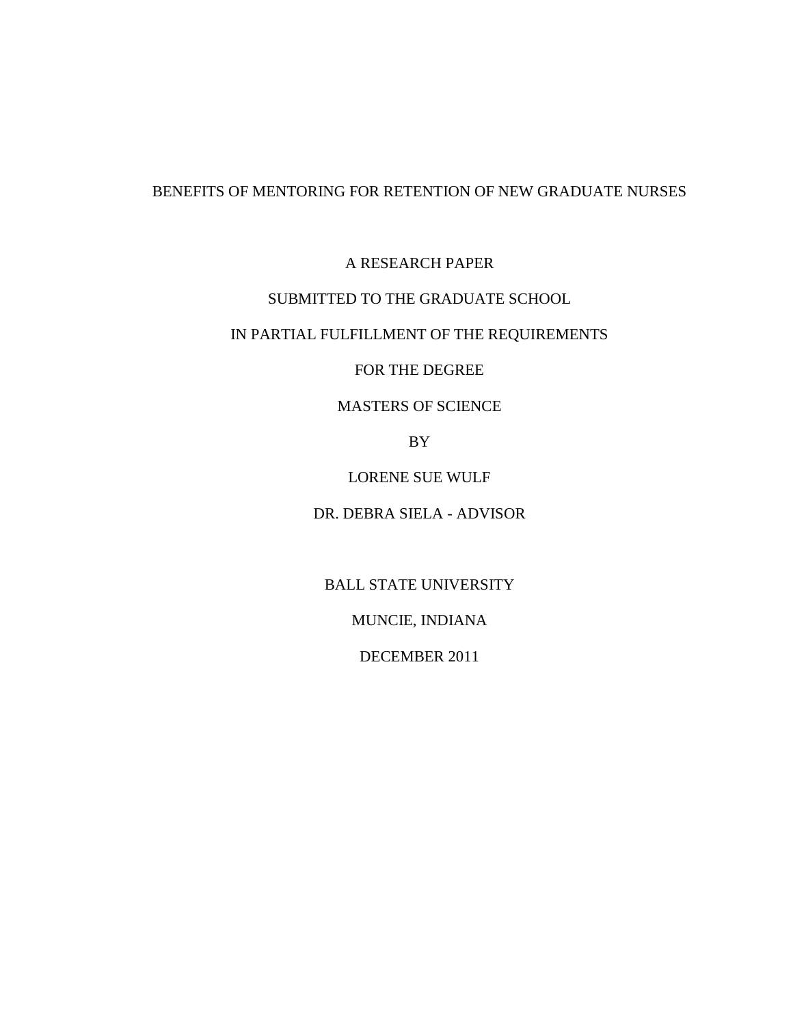# BENEFITS OF MENTORING FOR RETENTION OF NEW GRADUATE NURSES

A RESEARCH PAPER

## SUBMITTED TO THE GRADUATE SCHOOL

# IN PARTIAL FULFILLMENT OF THE REQUIREMENTS

## FOR THE DEGREE

## MASTERS OF SCIENCE

BY

LORENE SUE WULF

DR. DEBRA SIELA - ADVISOR

BALL STATE UNIVERSITY

MUNCIE, INDIANA

DECEMBER 2011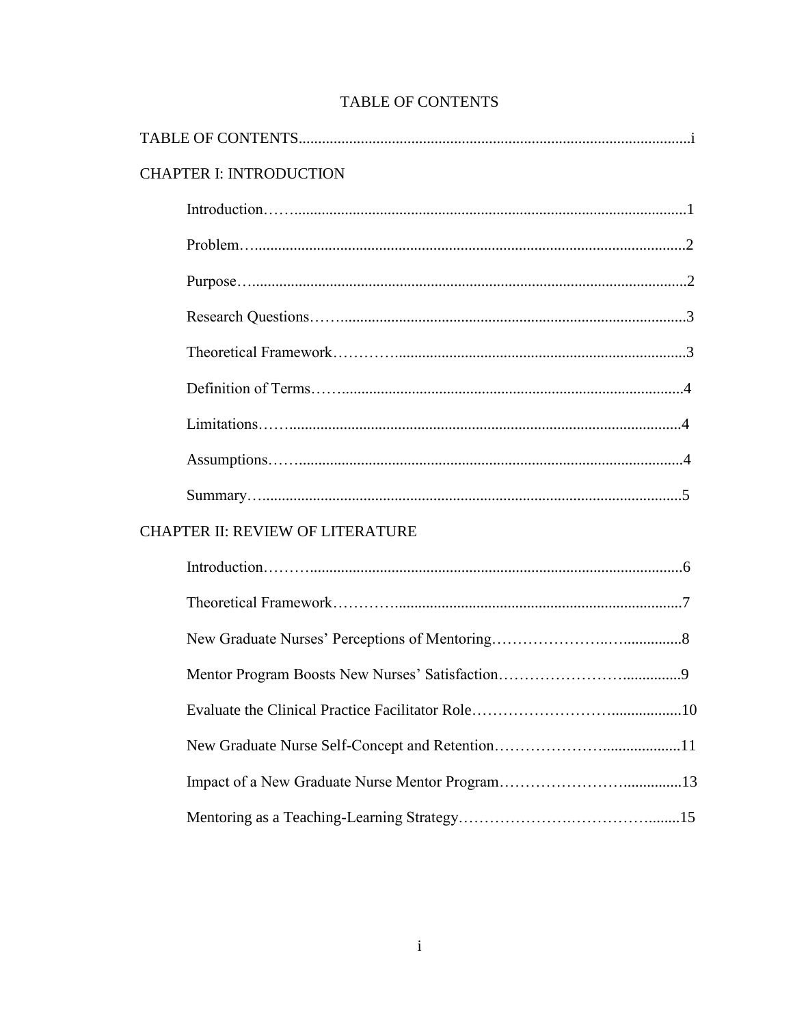| <b>CHAPTER I: INTRODUCTION</b>          |  |  |  |
|-----------------------------------------|--|--|--|
|                                         |  |  |  |
|                                         |  |  |  |
|                                         |  |  |  |
|                                         |  |  |  |
|                                         |  |  |  |
|                                         |  |  |  |
|                                         |  |  |  |
|                                         |  |  |  |
|                                         |  |  |  |
| <b>CHAPTER II: REVIEW OF LITERATURE</b> |  |  |  |
|                                         |  |  |  |
|                                         |  |  |  |
|                                         |  |  |  |
|                                         |  |  |  |
|                                         |  |  |  |
|                                         |  |  |  |
|                                         |  |  |  |
|                                         |  |  |  |

# **TABLE OF CONTENTS**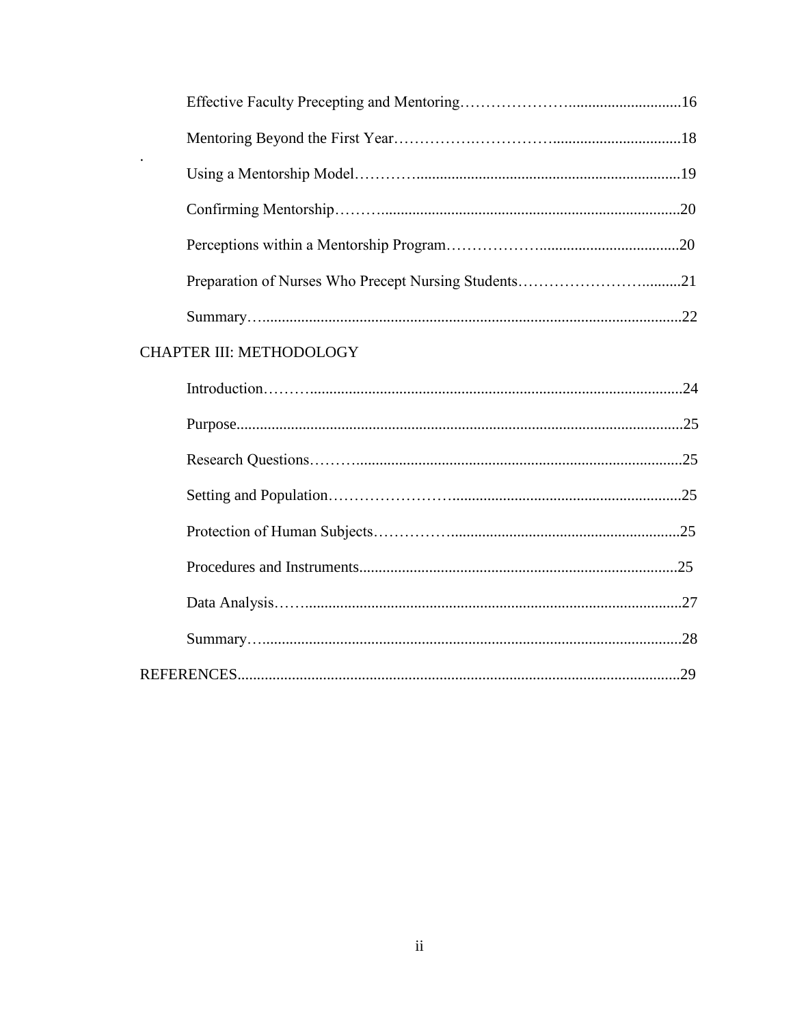| Preparation of Nurses Who Precept Nursing Students21 |  |
|------------------------------------------------------|--|
|                                                      |  |
| <b>CHAPTER III: METHODOLOGY</b>                      |  |
|                                                      |  |
|                                                      |  |
|                                                      |  |
|                                                      |  |
|                                                      |  |
|                                                      |  |
|                                                      |  |
|                                                      |  |
|                                                      |  |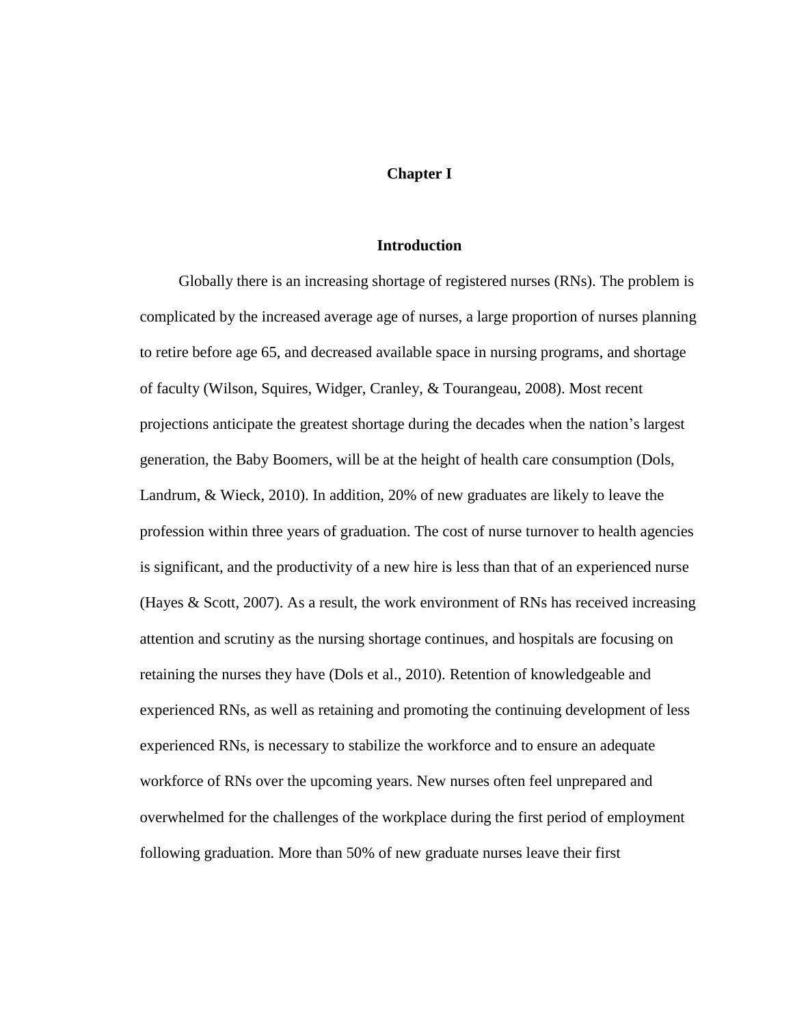#### **Chapter I**

#### **Introduction**

Globally there is an increasing shortage of registered nurses (RNs). The problem is complicated by the increased average age of nurses, a large proportion of nurses planning to retire before age 65, and decreased available space in nursing programs, and shortage of faculty (Wilson, Squires, Widger, Cranley, & Tourangeau, 2008). Most recent projections anticipate the greatest shortage during the decades when the nation's largest generation, the Baby Boomers, will be at the height of health care consumption (Dols, Landrum, & Wieck, 2010). In addition, 20% of new graduates are likely to leave the profession within three years of graduation. The cost of nurse turnover to health agencies is significant, and the productivity of a new hire is less than that of an experienced nurse (Hayes & Scott, 2007). As a result, the work environment of RNs has received increasing attention and scrutiny as the nursing shortage continues, and hospitals are focusing on retaining the nurses they have (Dols et al., 2010). Retention of knowledgeable and experienced RNs, as well as retaining and promoting the continuing development of less experienced RNs, is necessary to stabilize the workforce and to ensure an adequate workforce of RNs over the upcoming years. New nurses often feel unprepared and overwhelmed for the challenges of the workplace during the first period of employment following graduation. More than 50% of new graduate nurses leave their first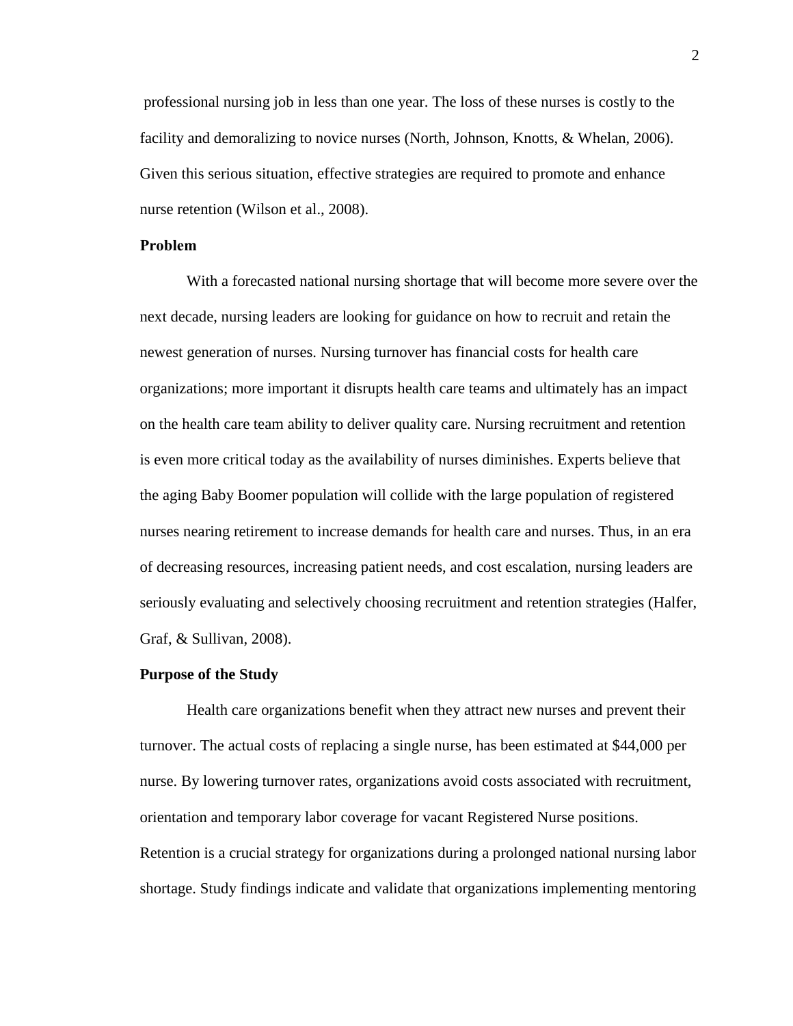professional nursing job in less than one year. The loss of these nurses is costly to the facility and demoralizing to novice nurses (North, Johnson, Knotts, & Whelan, 2006). Given this serious situation, effective strategies are required to promote and enhance nurse retention (Wilson et al., 2008).

#### **Problem**

 With a forecasted national nursing shortage that will become more severe over the next decade, nursing leaders are looking for guidance on how to recruit and retain the newest generation of nurses. Nursing turnover has financial costs for health care organizations; more important it disrupts health care teams and ultimately has an impact on the health care team ability to deliver quality care. Nursing recruitment and retention is even more critical today as the availability of nurses diminishes. Experts believe that the aging Baby Boomer population will collide with the large population of registered nurses nearing retirement to increase demands for health care and nurses. Thus, in an era of decreasing resources, increasing patient needs, and cost escalation, nursing leaders are seriously evaluating and selectively choosing recruitment and retention strategies (Halfer, Graf, & Sullivan, 2008).

#### **Purpose of the Study**

Health care organizations benefit when they attract new nurses and prevent their turnover. The actual costs of replacing a single nurse, has been estimated at \$44,000 per nurse. By lowering turnover rates, organizations avoid costs associated with recruitment, orientation and temporary labor coverage for vacant Registered Nurse positions. Retention is a crucial strategy for organizations during a prolonged national nursing labor shortage. Study findings indicate and validate that organizations implementing mentoring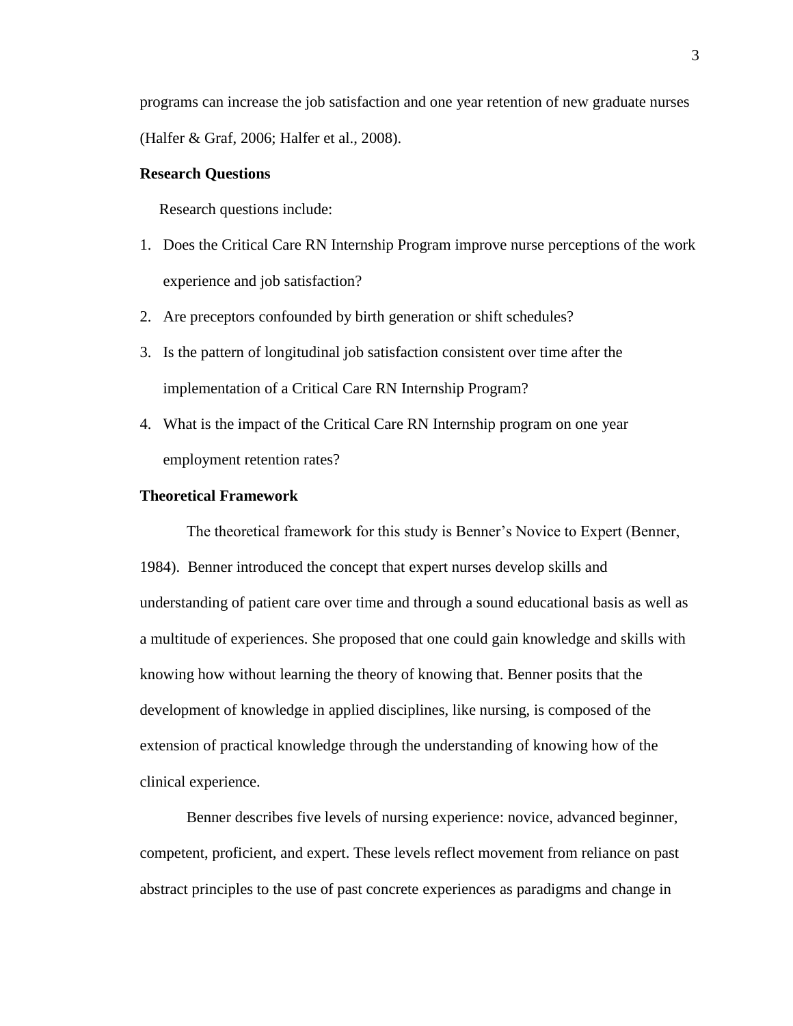programs can increase the job satisfaction and one year retention of new graduate nurses (Halfer & Graf, 2006; Halfer et al., 2008).

### **Research Questions**

Research questions include:

- 1. Does the Critical Care RN Internship Program improve nurse perceptions of the work experience and job satisfaction?
- 2. Are preceptors confounded by birth generation or shift schedules?
- 3. Is the pattern of longitudinal job satisfaction consistent over time after the implementation of a Critical Care RN Internship Program?
- 4. What is the impact of the Critical Care RN Internship program on one year employment retention rates?

#### **Theoretical Framework**

The theoretical framework for this study is Benner's Novice to Expert (Benner, 1984). Benner introduced the concept that expert nurses develop skills and understanding of patient care over time and through a sound educational basis as well as a multitude of experiences. She proposed that one could gain knowledge and skills with knowing how without learning the theory of knowing that. Benner posits that the development of knowledge in applied disciplines, like nursing, is composed of the extension of practical knowledge through the understanding of knowing how of the clinical experience.

Benner describes five levels of nursing experience: novice, advanced beginner, competent, proficient, and expert. These levels reflect movement from reliance on past abstract principles to the use of past concrete experiences as paradigms and change in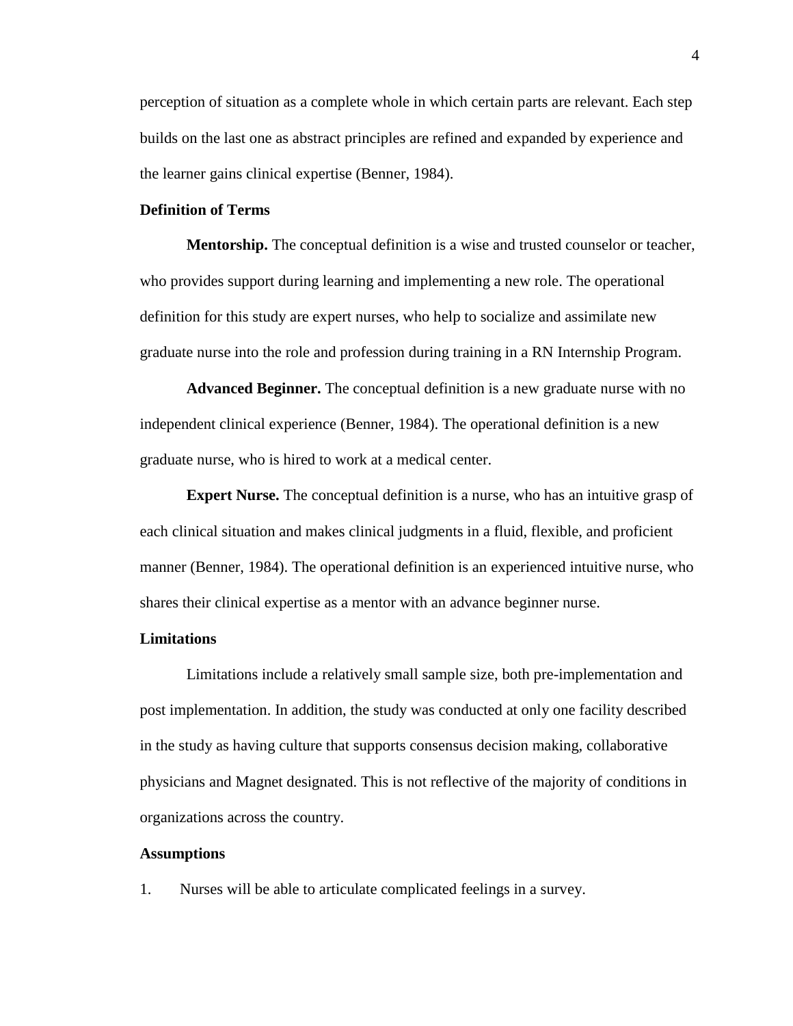perception of situation as a complete whole in which certain parts are relevant. Each step builds on the last one as abstract principles are refined and expanded by experience and the learner gains clinical expertise (Benner, 1984).

### **Definition of Terms**

**Mentorship.** The conceptual definition is a wise and trusted counselor or teacher, who provides support during learning and implementing a new role. The operational definition for this study are expert nurses, who help to socialize and assimilate new graduate nurse into the role and profession during training in a RN Internship Program.

**Advanced Beginner.** The conceptual definition is a new graduate nurse with no independent clinical experience (Benner, 1984). The operational definition is a new graduate nurse, who is hired to work at a medical center.

**Expert Nurse.** The conceptual definition is a nurse, who has an intuitive grasp of each clinical situation and makes clinical judgments in a fluid, flexible, and proficient manner (Benner, 1984). The operational definition is an experienced intuitive nurse, who shares their clinical expertise as a mentor with an advance beginner nurse.

### **Limitations**

Limitations include a relatively small sample size, both pre-implementation and post implementation. In addition, the study was conducted at only one facility described in the study as having culture that supports consensus decision making, collaborative physicians and Magnet designated. This is not reflective of the majority of conditions in organizations across the country.

### **Assumptions**

1. Nurses will be able to articulate complicated feelings in a survey.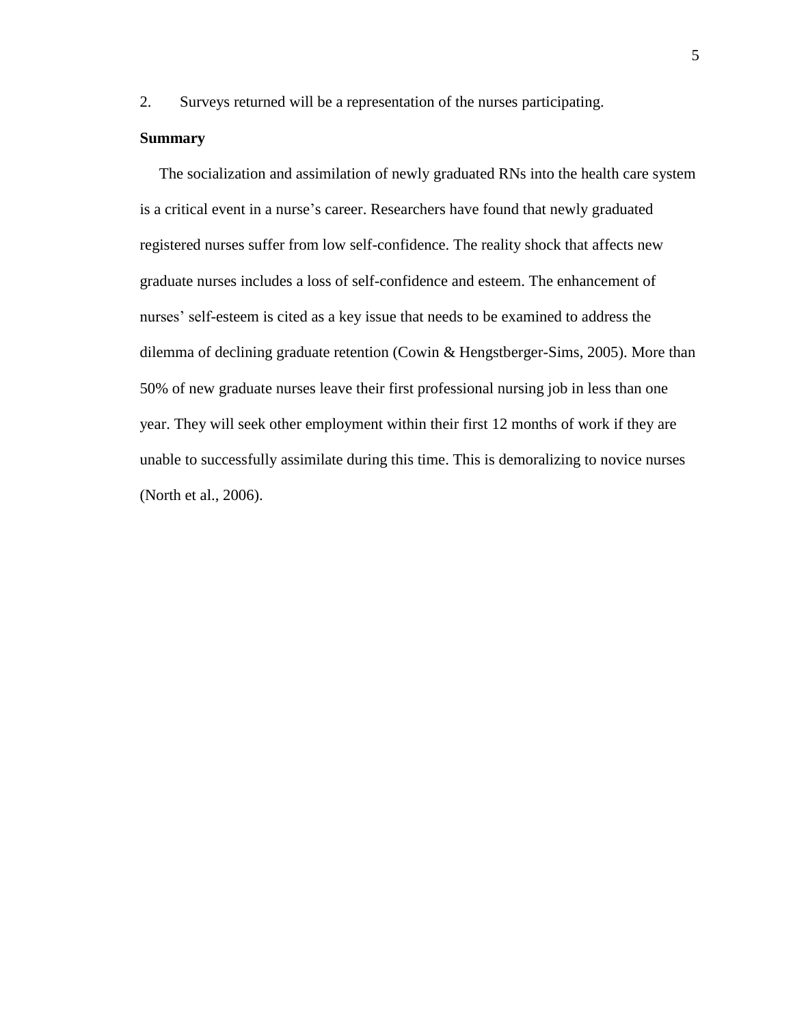2. Surveys returned will be a representation of the nurses participating.

### **Summary**

The socialization and assimilation of newly graduated RNs into the health care system is a critical event in a nurse's career. Researchers have found that newly graduated registered nurses suffer from low self-confidence. The reality shock that affects new graduate nurses includes a loss of self-confidence and esteem. The enhancement of nurses' self-esteem is cited as a key issue that needs to be examined to address the dilemma of declining graduate retention (Cowin & Hengstberger-Sims, 2005). More than 50% of new graduate nurses leave their first professional nursing job in less than one year. They will seek other employment within their first 12 months of work if they are unable to successfully assimilate during this time. This is demoralizing to novice nurses (North et al., 2006).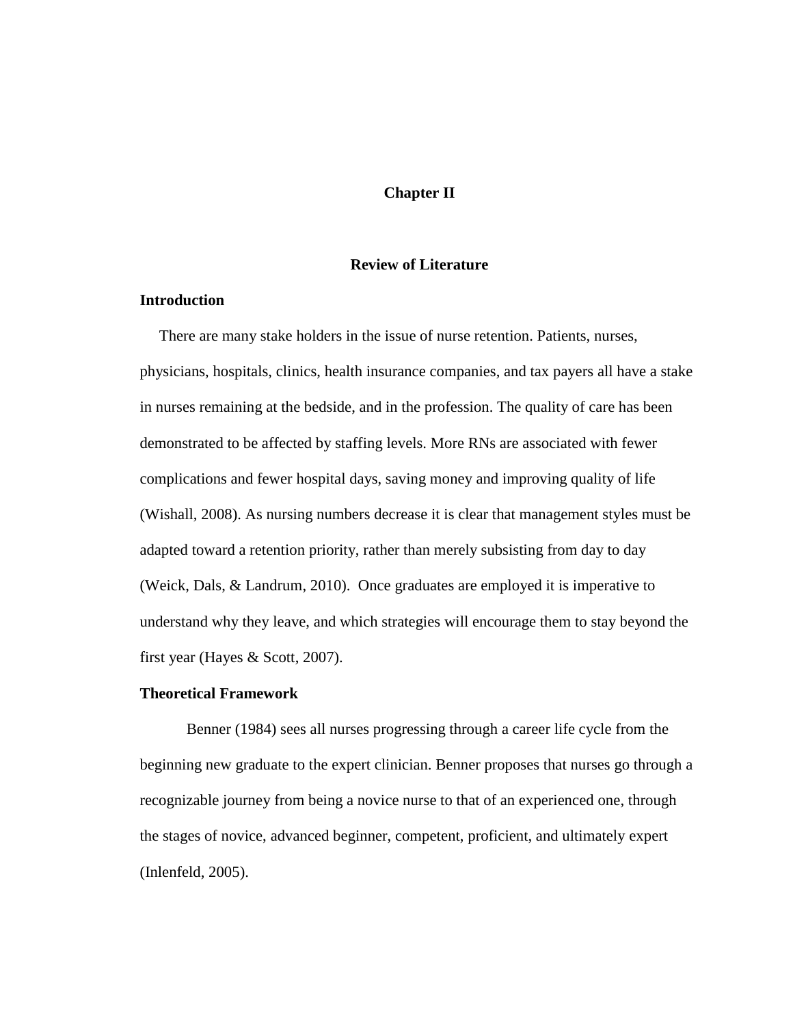## **Chapter II**

#### **Review of Literature**

## **Introduction**

 There are many stake holders in the issue of nurse retention. Patients, nurses, physicians, hospitals, clinics, health insurance companies, and tax payers all have a stake in nurses remaining at the bedside, and in the profession. The quality of care has been demonstrated to be affected by staffing levels. More RNs are associated with fewer complications and fewer hospital days, saving money and improving quality of life (Wishall, 2008). As nursing numbers decrease it is clear that management styles must be adapted toward a retention priority, rather than merely subsisting from day to day (Weick, Dals, & Landrum, 2010). Once graduates are employed it is imperative to understand why they leave, and which strategies will encourage them to stay beyond the first year (Hayes & Scott, 2007).

## **Theoretical Framework**

Benner (1984) sees all nurses progressing through a career life cycle from the beginning new graduate to the expert clinician. Benner proposes that nurses go through a recognizable journey from being a novice nurse to that of an experienced one, through the stages of novice, advanced beginner, competent, proficient, and ultimately expert (Inlenfeld, 2005).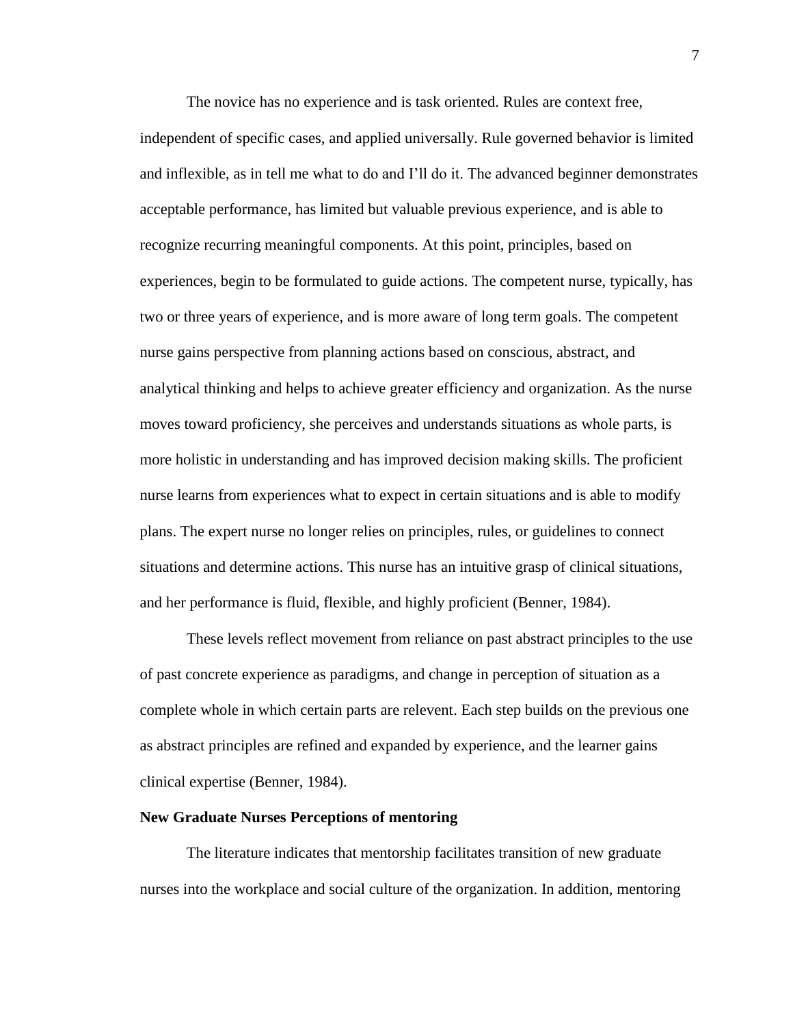The novice has no experience and is task oriented. Rules are context free, independent of specific cases, and applied universally. Rule governed behavior is limited and inflexible, as in tell me what to do and I'll do it. The advanced beginner demonstrates acceptable performance, has limited but valuable previous experience, and is able to recognize recurring meaningful components. At this point, principles, based on experiences, begin to be formulated to guide actions. The competent nurse, typically, has two or three years of experience, and is more aware of long term goals. The competent nurse gains perspective from planning actions based on conscious, abstract, and analytical thinking and helps to achieve greater efficiency and organization. As the nurse moves toward proficiency, she perceives and understands situations as whole parts, is more holistic in understanding and has improved decision making skills. The proficient nurse learns from experiences what to expect in certain situations and is able to modify plans. The expert nurse no longer relies on principles, rules, or guidelines to connect situations and determine actions. This nurse has an intuitive grasp of clinical situations, and her performance is fluid, flexible, and highly proficient (Benner, 1984).

 These levels reflect movement from reliance on past abstract principles to the use of past concrete experience as paradigms, and change in perception of situation as a complete whole in which certain parts are relevent. Each step builds on the previous one as abstract principles are refined and expanded by experience, and the learner gains clinical expertise (Benner, 1984).

#### **New Graduate Nurses Perceptions of mentoring**

 The literature indicates that mentorship facilitates transition of new graduate nurses into the workplace and social culture of the organization. In addition, mentoring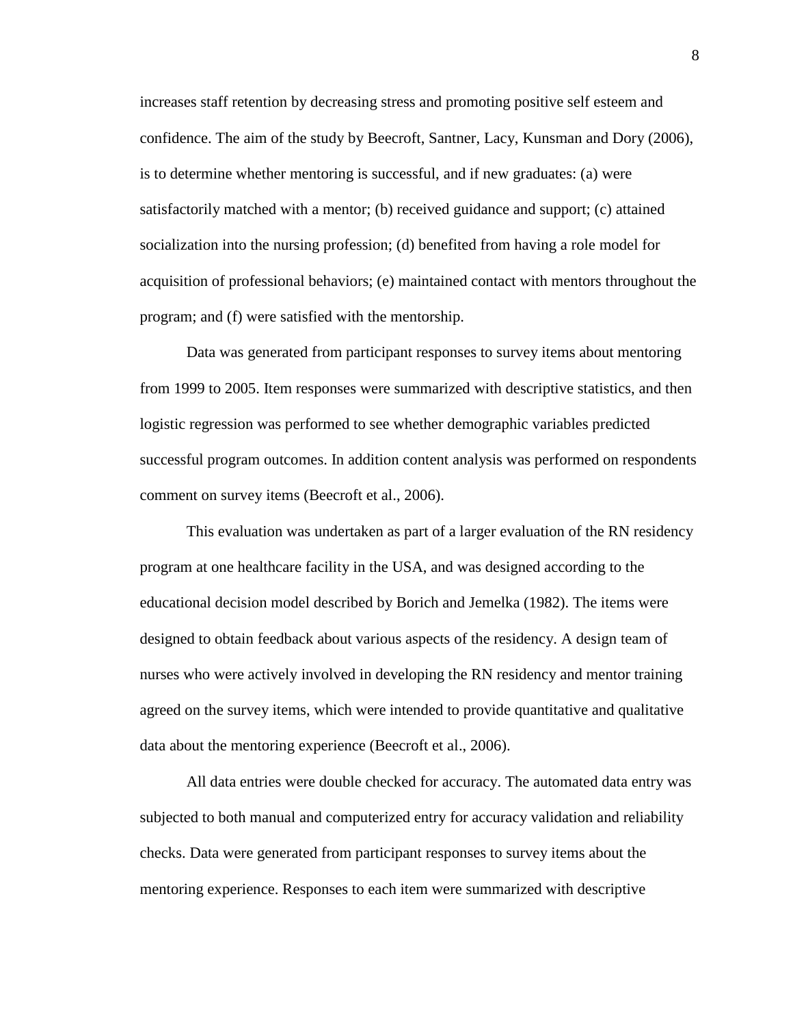increases staff retention by decreasing stress and promoting positive self esteem and confidence. The aim of the study by Beecroft, Santner, Lacy, Kunsman and Dory (2006), is to determine whether mentoring is successful, and if new graduates: (a) were satisfactorily matched with a mentor; (b) received guidance and support; (c) attained socialization into the nursing profession; (d) benefited from having a role model for acquisition of professional behaviors; (e) maintained contact with mentors throughout the program; and (f) were satisfied with the mentorship.

 Data was generated from participant responses to survey items about mentoring from 1999 to 2005. Item responses were summarized with descriptive statistics, and then logistic regression was performed to see whether demographic variables predicted successful program outcomes. In addition content analysis was performed on respondents comment on survey items (Beecroft et al., 2006).

 This evaluation was undertaken as part of a larger evaluation of the RN residency program at one healthcare facility in the USA, and was designed according to the educational decision model described by Borich and Jemelka (1982). The items were designed to obtain feedback about various aspects of the residency. A design team of nurses who were actively involved in developing the RN residency and mentor training agreed on the survey items, which were intended to provide quantitative and qualitative data about the mentoring experience (Beecroft et al., 2006).

All data entries were double checked for accuracy. The automated data entry was subjected to both manual and computerized entry for accuracy validation and reliability checks. Data were generated from participant responses to survey items about the mentoring experience. Responses to each item were summarized with descriptive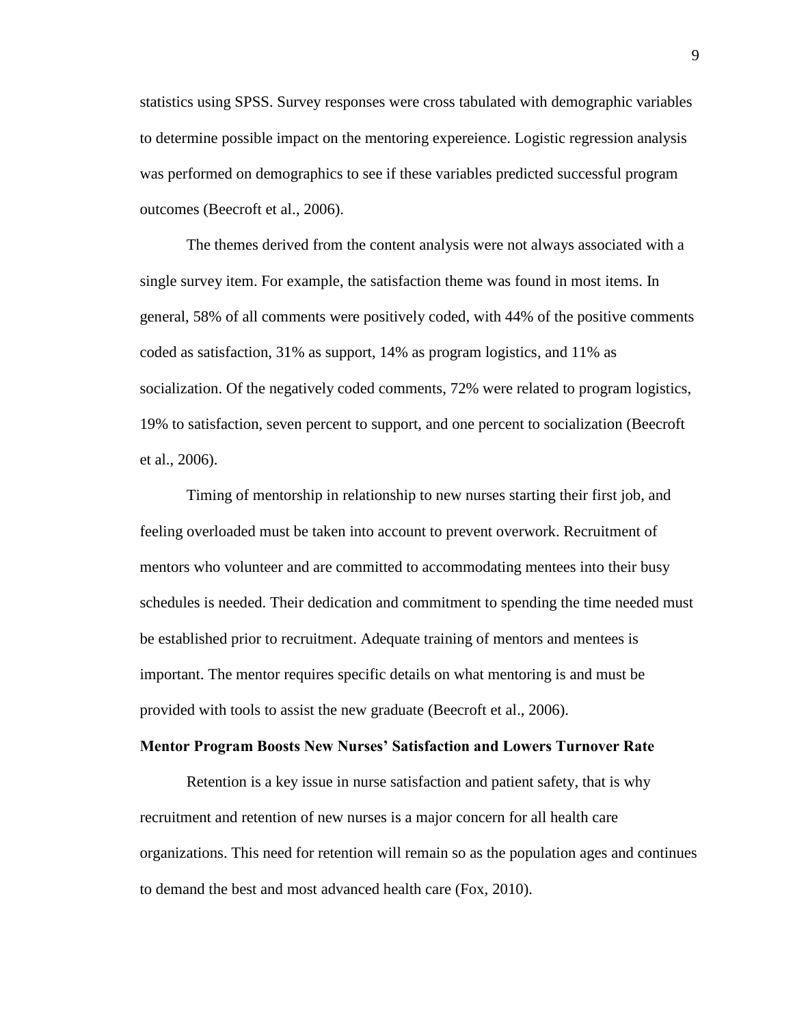statistics using SPSS. Survey responses were cross tabulated with demographic variables to determine possible impact on the mentoring expereience. Logistic regression analysis was performed on demographics to see if these variables predicted successful program outcomes (Beecroft et al., 2006).

 The themes derived from the content analysis were not always associated with a single survey item. For example, the satisfaction theme was found in most items. In general, 58% of all comments were positively coded, with 44% of the positive comments coded as satisfaction, 31% as support, 14% as program logistics, and 11% as socialization. Of the negatively coded comments, 72% were related to program logistics, 19% to satisfaction, seven percent to support, and one percent to socialization (Beecroft et al., 2006).

 Timing of mentorship in relationship to new nurses starting their first job, and feeling overloaded must be taken into account to prevent overwork. Recruitment of mentors who volunteer and are committed to accommodating mentees into their busy schedules is needed. Their dedication and commitment to spending the time needed must be established prior to recruitment. Adequate training of mentors and mentees is important. The mentor requires specific details on what mentoring is and must be provided with tools to assist the new graduate (Beecroft et al., 2006).

#### **Mentor Program Boosts New Nurses' Satisfaction and Lowers Turnover Rate**

Retention is a key issue in nurse satisfaction and patient safety, that is why recruitment and retention of new nurses is a major concern for all health care organizations. This need for retention will remain so as the population ages and continues to demand the best and most advanced health care (Fox, 2010).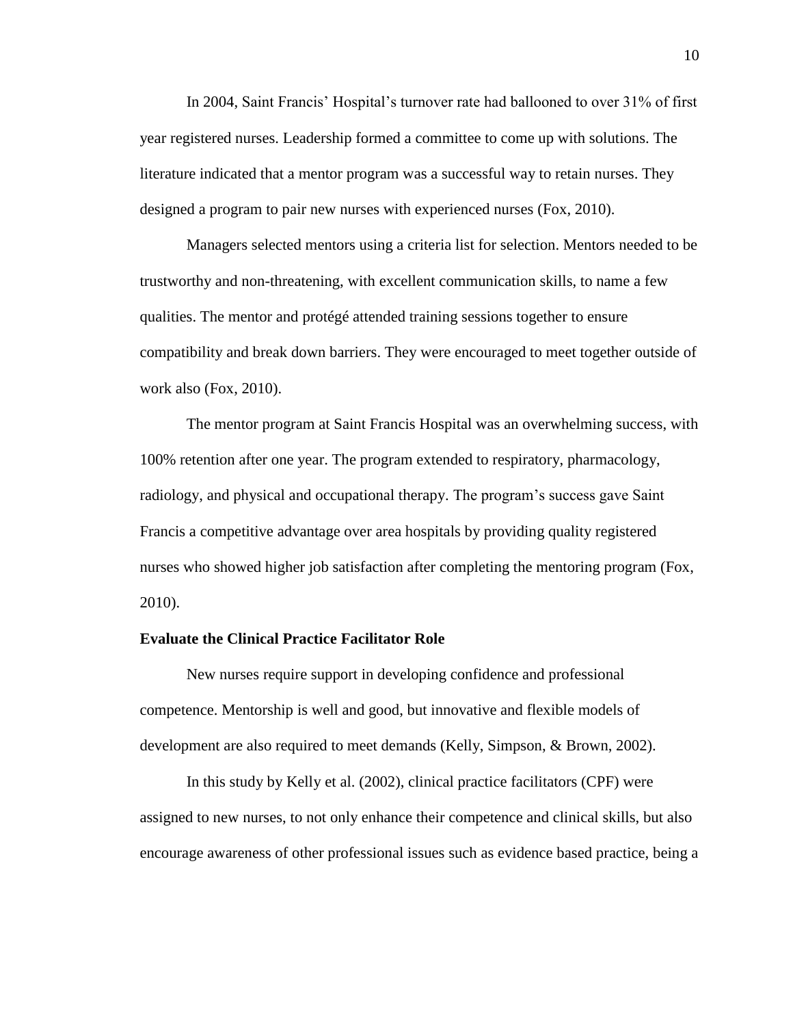In 2004, Saint Francis' Hospital's turnover rate had ballooned to over 31% of first year registered nurses. Leadership formed a committee to come up with solutions. The literature indicated that a mentor program was a successful way to retain nurses. They designed a program to pair new nurses with experienced nurses (Fox, 2010).

 Managers selected mentors using a criteria list for selection. Mentors needed to be trustworthy and non-threatening, with excellent communication skills, to name a few qualities. The mentor and protégé attended training sessions together to ensure compatibility and break down barriers. They were encouraged to meet together outside of work also (Fox, 2010).

 The mentor program at Saint Francis Hospital was an overwhelming success, with 100% retention after one year. The program extended to respiratory, pharmacology, radiology, and physical and occupational therapy. The program's success gave Saint Francis a competitive advantage over area hospitals by providing quality registered nurses who showed higher job satisfaction after completing the mentoring program (Fox, 2010).

#### **Evaluate the Clinical Practice Facilitator Role**

 New nurses require support in developing confidence and professional competence. Mentorship is well and good, but innovative and flexible models of development are also required to meet demands (Kelly, Simpson, & Brown, 2002).

 In this study by Kelly et al. (2002), clinical practice facilitators (CPF) were assigned to new nurses, to not only enhance their competence and clinical skills, but also encourage awareness of other professional issues such as evidence based practice, being a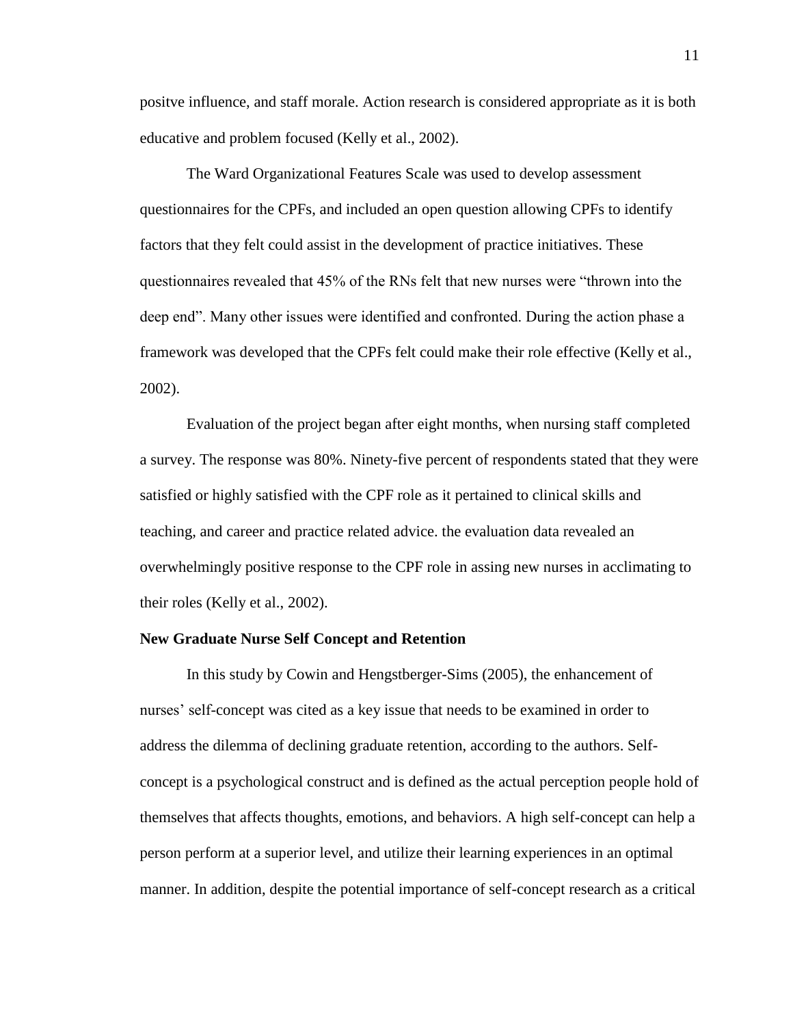positve influence, and staff morale. Action research is considered appropriate as it is both educative and problem focused (Kelly et al., 2002).

 The Ward Organizational Features Scale was used to develop assessment questionnaires for the CPFs, and included an open question allowing CPFs to identify factors that they felt could assist in the development of practice initiatives. These questionnaires revealed that 45% of the RNs felt that new nurses were "thrown into the deep end". Many other issues were identified and confronted. During the action phase a framework was developed that the CPFs felt could make their role effective (Kelly et al., 2002).

 Evaluation of the project began after eight months, when nursing staff completed a survey. The response was 80%. Ninety-five percent of respondents stated that they were satisfied or highly satisfied with the CPF role as it pertained to clinical skills and teaching, and career and practice related advice. the evaluation data revealed an overwhelmingly positive response to the CPF role in assing new nurses in acclimating to their roles (Kelly et al., 2002).

#### **New Graduate Nurse Self Concept and Retention**

In this study by Cowin and Hengstberger-Sims (2005), the enhancement of nurses' self-concept was cited as a key issue that needs to be examined in order to address the dilemma of declining graduate retention, according to the authors. Selfconcept is a psychological construct and is defined as the actual perception people hold of themselves that affects thoughts, emotions, and behaviors. A high self-concept can help a person perform at a superior level, and utilize their learning experiences in an optimal manner. In addition, despite the potential importance of self-concept research as a critical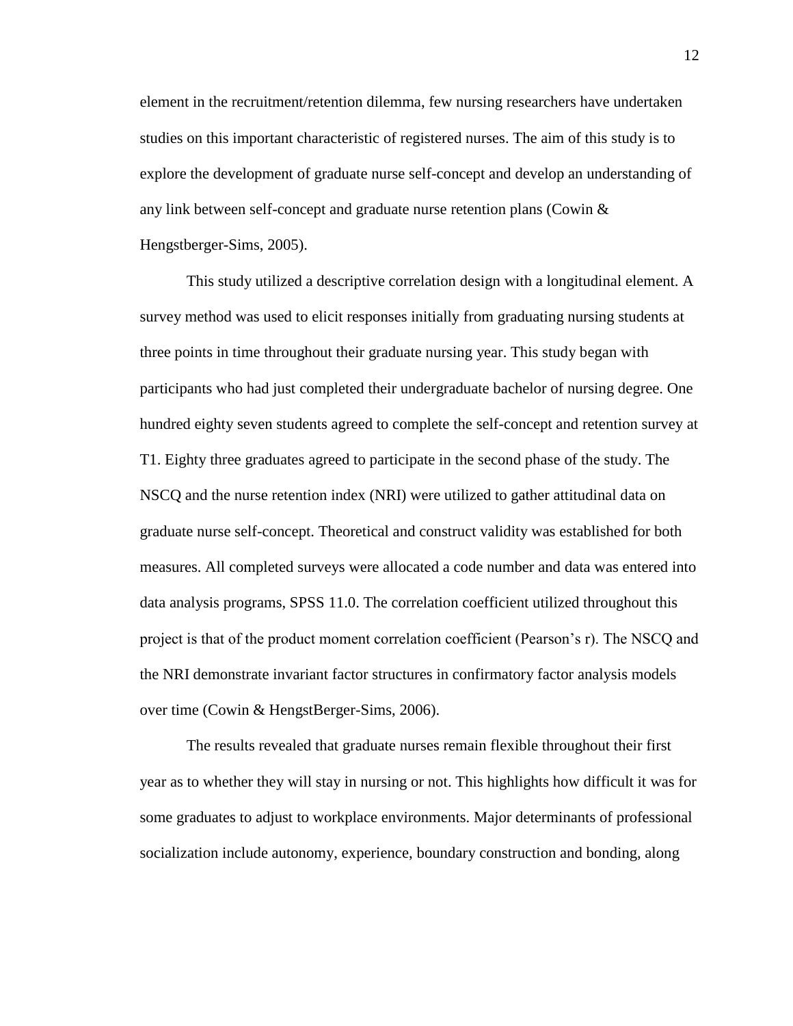element in the recruitment/retention dilemma, few nursing researchers have undertaken studies on this important characteristic of registered nurses. The aim of this study is to explore the development of graduate nurse self-concept and develop an understanding of any link between self-concept and graduate nurse retention plans (Cowin & Hengstberger-Sims, 2005).

 This study utilized a descriptive correlation design with a longitudinal element. A survey method was used to elicit responses initially from graduating nursing students at three points in time throughout their graduate nursing year. This study began with participants who had just completed their undergraduate bachelor of nursing degree. One hundred eighty seven students agreed to complete the self-concept and retention survey at T1. Eighty three graduates agreed to participate in the second phase of the study. The NSCQ and the nurse retention index (NRI) were utilized to gather attitudinal data on graduate nurse self-concept. Theoretical and construct validity was established for both measures. All completed surveys were allocated a code number and data was entered into data analysis programs, SPSS 11.0. The correlation coefficient utilized throughout this project is that of the product moment correlation coefficient (Pearson's r). The NSCQ and the NRI demonstrate invariant factor structures in confirmatory factor analysis models over time (Cowin & HengstBerger-Sims, 2006).

The results revealed that graduate nurses remain flexible throughout their first year as to whether they will stay in nursing or not. This highlights how difficult it was for some graduates to adjust to workplace environments. Major determinants of professional socialization include autonomy, experience, boundary construction and bonding, along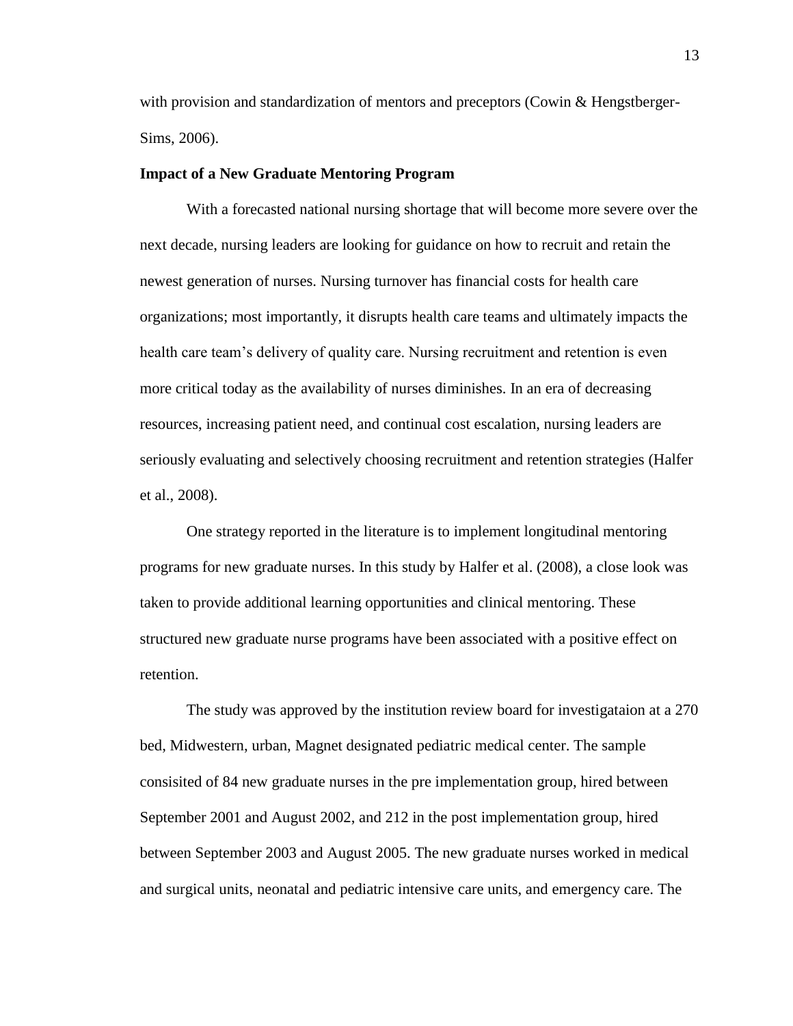with provision and standardization of mentors and preceptors (Cowin & Hengstberger-Sims, 2006).

#### **Impact of a New Graduate Mentoring Program**

 With a forecasted national nursing shortage that will become more severe over the next decade, nursing leaders are looking for guidance on how to recruit and retain the newest generation of nurses. Nursing turnover has financial costs for health care organizations; most importantly, it disrupts health care teams and ultimately impacts the health care team's delivery of quality care. Nursing recruitment and retention is even more critical today as the availability of nurses diminishes. In an era of decreasing resources, increasing patient need, and continual cost escalation, nursing leaders are seriously evaluating and selectively choosing recruitment and retention strategies (Halfer et al., 2008).

 One strategy reported in the literature is to implement longitudinal mentoring programs for new graduate nurses. In this study by Halfer et al. (2008), a close look was taken to provide additional learning opportunities and clinical mentoring. These structured new graduate nurse programs have been associated with a positive effect on retention.

 The study was approved by the institution review board for investigataion at a 270 bed, Midwestern, urban, Magnet designated pediatric medical center. The sample consisited of 84 new graduate nurses in the pre implementation group, hired between September 2001 and August 2002, and 212 in the post implementation group, hired between September 2003 and August 2005. The new graduate nurses worked in medical and surgical units, neonatal and pediatric intensive care units, and emergency care. The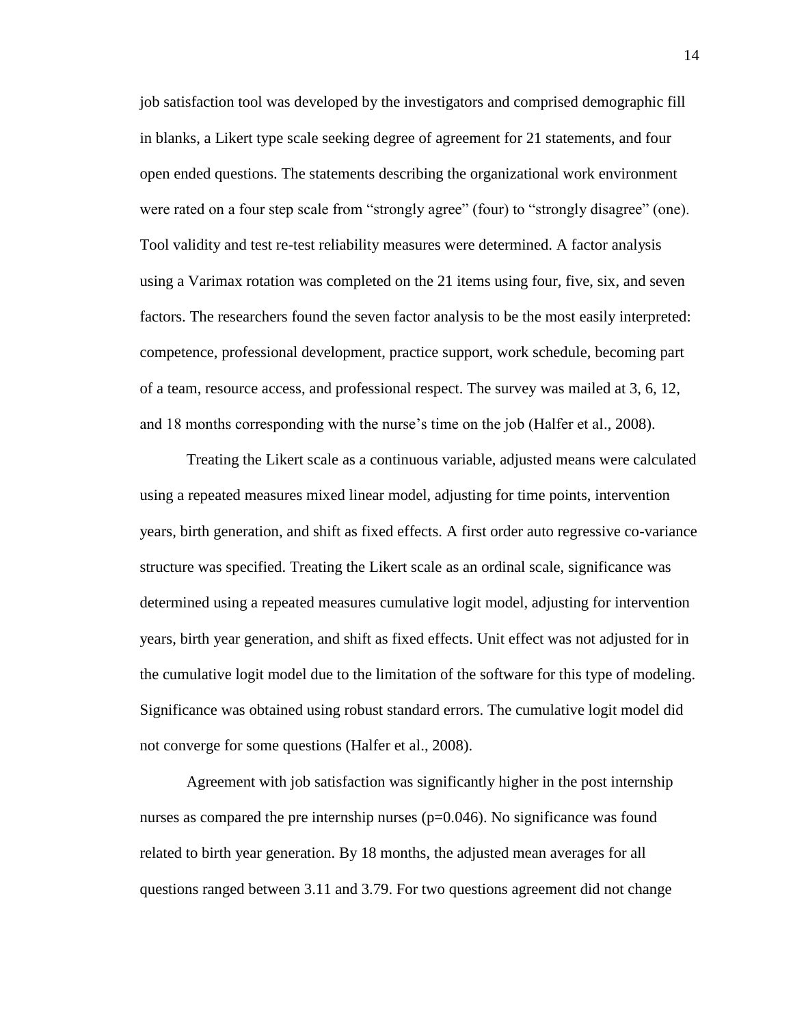job satisfaction tool was developed by the investigators and comprised demographic fill in blanks, a Likert type scale seeking degree of agreement for 21 statements, and four open ended questions. The statements describing the organizational work environment were rated on a four step scale from "strongly agree" (four) to "strongly disagree" (one). Tool validity and test re-test reliability measures were determined. A factor analysis using a Varimax rotation was completed on the 21 items using four, five, six, and seven factors. The researchers found the seven factor analysis to be the most easily interpreted: competence, professional development, practice support, work schedule, becoming part of a team, resource access, and professional respect. The survey was mailed at 3, 6, 12, and 18 months corresponding with the nurse's time on the job (Halfer et al., 2008).

 Treating the Likert scale as a continuous variable, adjusted means were calculated using a repeated measures mixed linear model, adjusting for time points, intervention years, birth generation, and shift as fixed effects. A first order auto regressive co-variance structure was specified. Treating the Likert scale as an ordinal scale, significance was determined using a repeated measures cumulative logit model, adjusting for intervention years, birth year generation, and shift as fixed effects. Unit effect was not adjusted for in the cumulative logit model due to the limitation of the software for this type of modeling. Significance was obtained using robust standard errors. The cumulative logit model did not converge for some questions (Halfer et al., 2008).

 Agreement with job satisfaction was significantly higher in the post internship nurses as compared the pre internship nurses  $(p=0.046)$ . No significance was found related to birth year generation. By 18 months, the adjusted mean averages for all questions ranged between 3.11 and 3.79. For two questions agreement did not change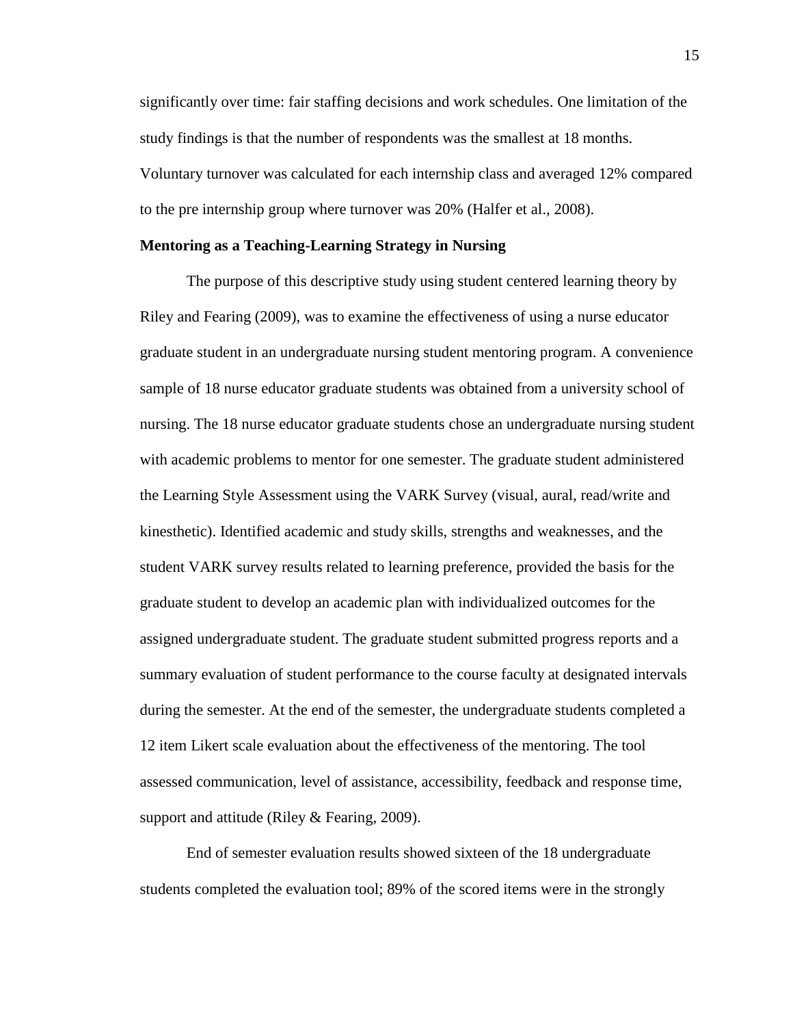significantly over time: fair staffing decisions and work schedules. One limitation of the study findings is that the number of respondents was the smallest at 18 months. Voluntary turnover was calculated for each internship class and averaged 12% compared to the pre internship group where turnover was 20% (Halfer et al., 2008).

#### **Mentoring as a Teaching-Learning Strategy in Nursing**

 The purpose of this descriptive study using student centered learning theory by Riley and Fearing (2009), was to examine the effectiveness of using a nurse educator graduate student in an undergraduate nursing student mentoring program. A convenience sample of 18 nurse educator graduate students was obtained from a university school of nursing. The 18 nurse educator graduate students chose an undergraduate nursing student with academic problems to mentor for one semester. The graduate student administered the Learning Style Assessment using the VARK Survey (visual, aural, read/write and kinesthetic). Identified academic and study skills, strengths and weaknesses, and the student VARK survey results related to learning preference, provided the basis for the graduate student to develop an academic plan with individualized outcomes for the assigned undergraduate student. The graduate student submitted progress reports and a summary evaluation of student performance to the course faculty at designated intervals during the semester. At the end of the semester, the undergraduate students completed a 12 item Likert scale evaluation about the effectiveness of the mentoring. The tool assessed communication, level of assistance, accessibility, feedback and response time, support and attitude (Riley & Fearing, 2009).

End of semester evaluation results showed sixteen of the 18 undergraduate students completed the evaluation tool; 89% of the scored items were in the strongly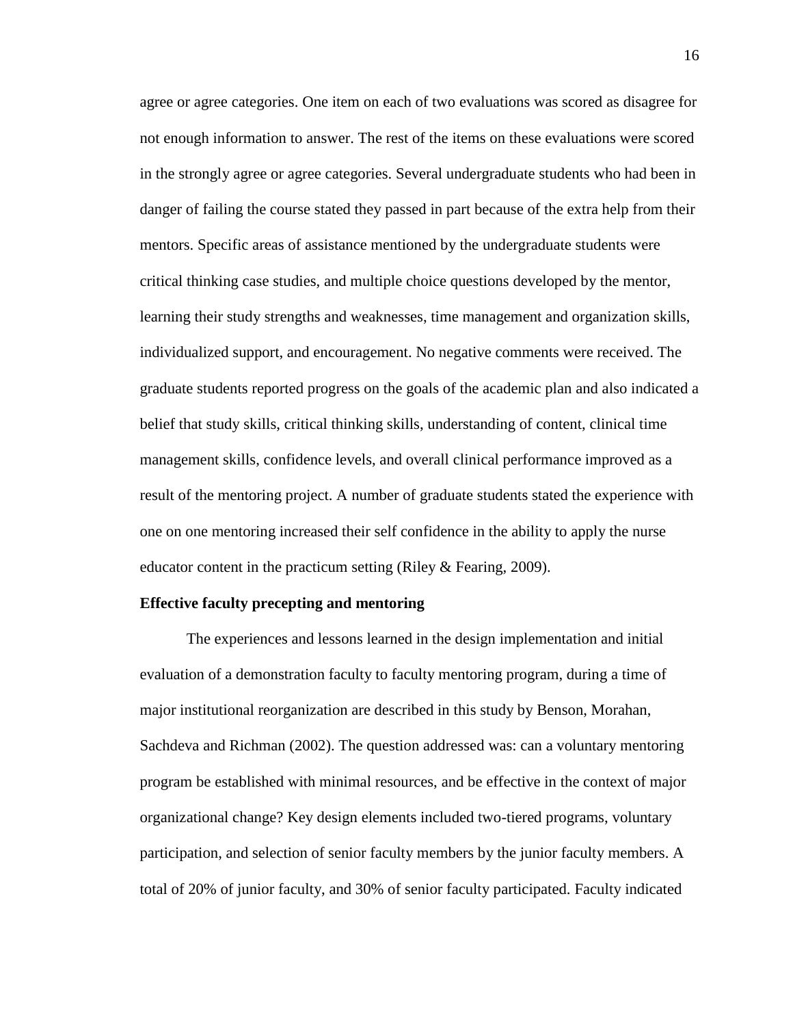agree or agree categories. One item on each of two evaluations was scored as disagree for not enough information to answer. The rest of the items on these evaluations were scored in the strongly agree or agree categories. Several undergraduate students who had been in danger of failing the course stated they passed in part because of the extra help from their mentors. Specific areas of assistance mentioned by the undergraduate students were critical thinking case studies, and multiple choice questions developed by the mentor, learning their study strengths and weaknesses, time management and organization skills, individualized support, and encouragement. No negative comments were received. The graduate students reported progress on the goals of the academic plan and also indicated a belief that study skills, critical thinking skills, understanding of content, clinical time management skills, confidence levels, and overall clinical performance improved as a result of the mentoring project. A number of graduate students stated the experience with one on one mentoring increased their self confidence in the ability to apply the nurse educator content in the practicum setting (Riley & Fearing, 2009).

#### **Effective faculty precepting and mentoring**

The experiences and lessons learned in the design implementation and initial evaluation of a demonstration faculty to faculty mentoring program, during a time of major institutional reorganization are described in this study by Benson, Morahan, Sachdeva and Richman (2002). The question addressed was: can a voluntary mentoring program be established with minimal resources, and be effective in the context of major organizational change? Key design elements included two-tiered programs, voluntary participation, and selection of senior faculty members by the junior faculty members. A total of 20% of junior faculty, and 30% of senior faculty participated. Faculty indicated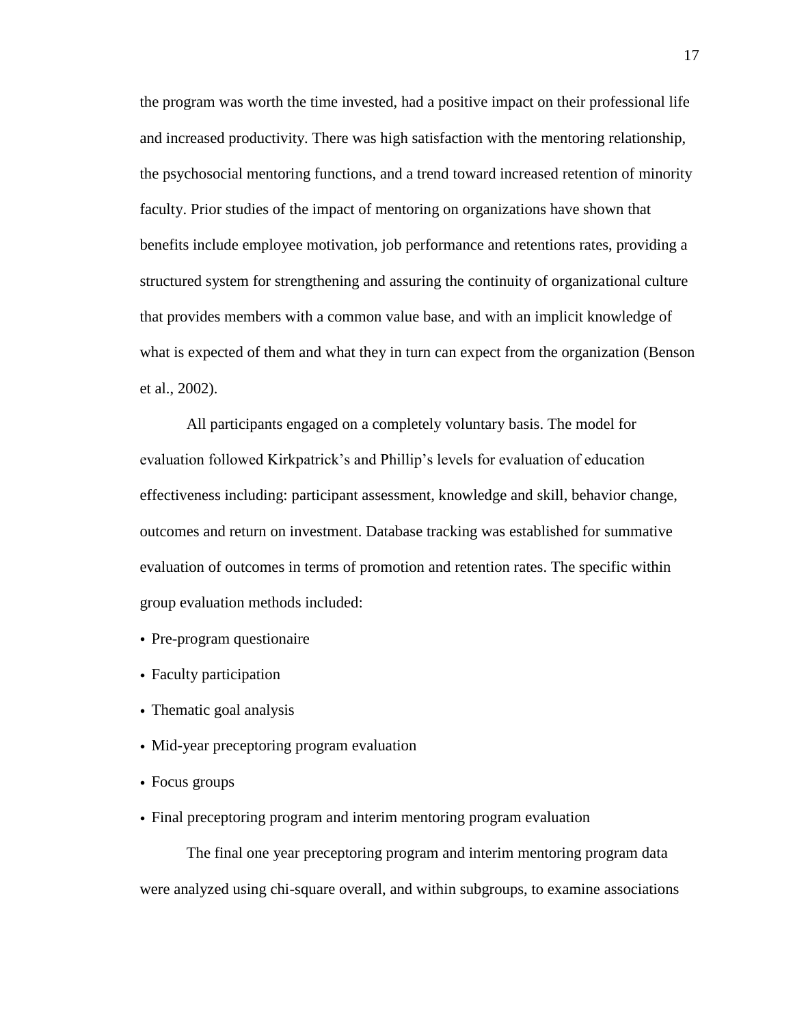the program was worth the time invested, had a positive impact on their professional life and increased productivity. There was high satisfaction with the mentoring relationship, the psychosocial mentoring functions, and a trend toward increased retention of minority faculty. Prior studies of the impact of mentoring on organizations have shown that benefits include employee motivation, job performance and retentions rates, providing a structured system for strengthening and assuring the continuity of organizational culture that provides members with a common value base, and with an implicit knowledge of what is expected of them and what they in turn can expect from the organization (Benson et al., 2002).

 All participants engaged on a completely voluntary basis. The model for evaluation followed Kirkpatrick's and Phillip's levels for evaluation of education effectiveness including: participant assessment, knowledge and skill, behavior change, outcomes and return on investment. Database tracking was established for summative evaluation of outcomes in terms of promotion and retention rates. The specific within group evaluation methods included:

- Pre-program questionaire
- Faculty participation
- Thematic goal analysis
- Mid-year preceptoring program evaluation
- Focus groups
- Final preceptoring program and interim mentoring program evaluation

The final one year preceptoring program and interim mentoring program data were analyzed using chi-square overall, and within subgroups, to examine associations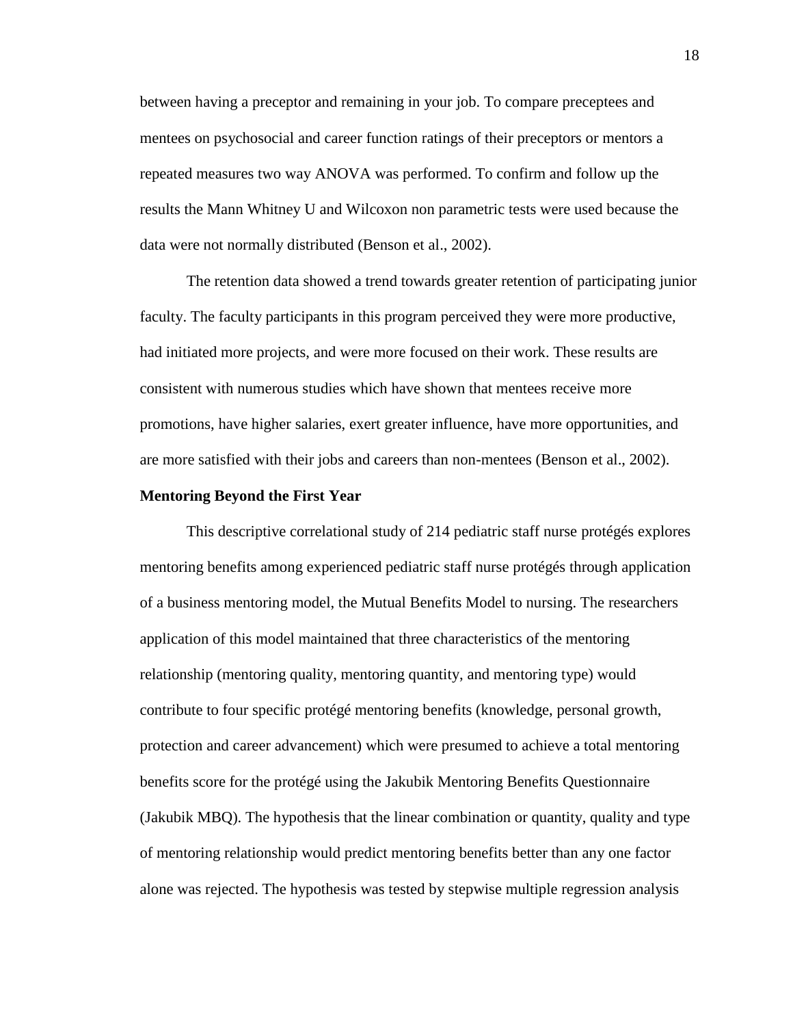between having a preceptor and remaining in your job. To compare preceptees and mentees on psychosocial and career function ratings of their preceptors or mentors a repeated measures two way ANOVA was performed. To confirm and follow up the results the Mann Whitney U and Wilcoxon non parametric tests were used because the data were not normally distributed (Benson et al., 2002).

 The retention data showed a trend towards greater retention of participating junior faculty. The faculty participants in this program perceived they were more productive, had initiated more projects, and were more focused on their work. These results are consistent with numerous studies which have shown that mentees receive more promotions, have higher salaries, exert greater influence, have more opportunities, and are more satisfied with their jobs and careers than non-mentees (Benson et al., 2002).

#### **Mentoring Beyond the First Year**

This descriptive correlational study of 214 pediatric staff nurse protégés explores mentoring benefits among experienced pediatric staff nurse protégés through application of a business mentoring model, the Mutual Benefits Model to nursing. The researchers application of this model maintained that three characteristics of the mentoring relationship (mentoring quality, mentoring quantity, and mentoring type) would contribute to four specific protégé mentoring benefits (knowledge, personal growth, protection and career advancement) which were presumed to achieve a total mentoring benefits score for the protégé using the Jakubik Mentoring Benefits Questionnaire (Jakubik MBQ). The hypothesis that the linear combination or quantity, quality and type of mentoring relationship would predict mentoring benefits better than any one factor alone was rejected. The hypothesis was tested by stepwise multiple regression analysis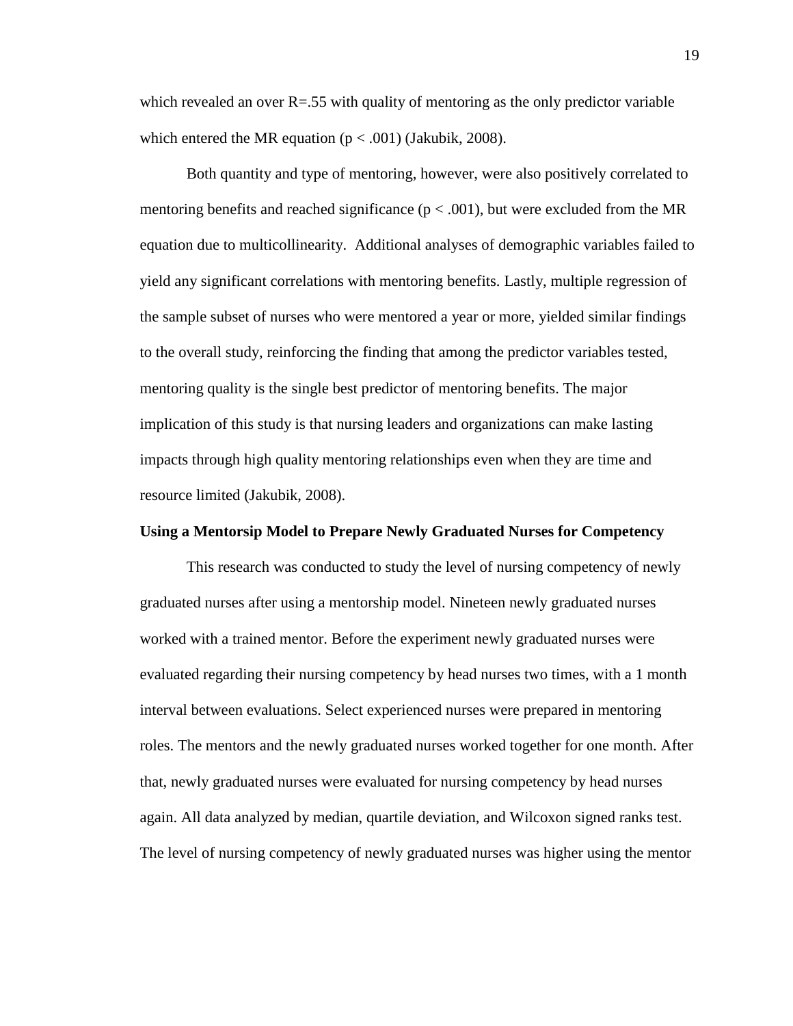which revealed an over  $R = 0.55$  with quality of mentoring as the only predictor variable which entered the MR equation ( $p < .001$ ) (Jakubik, 2008).

 Both quantity and type of mentoring, however, were also positively correlated to mentoring benefits and reached significance ( $p < .001$ ), but were excluded from the MR equation due to multicollinearity. Additional analyses of demographic variables failed to yield any significant correlations with mentoring benefits. Lastly, multiple regression of the sample subset of nurses who were mentored a year or more, yielded similar findings to the overall study, reinforcing the finding that among the predictor variables tested, mentoring quality is the single best predictor of mentoring benefits. The major implication of this study is that nursing leaders and organizations can make lasting impacts through high quality mentoring relationships even when they are time and resource limited (Jakubik, 2008).

### **Using a Mentorsip Model to Prepare Newly Graduated Nurses for Competency**

 This research was conducted to study the level of nursing competency of newly graduated nurses after using a mentorship model. Nineteen newly graduated nurses worked with a trained mentor. Before the experiment newly graduated nurses were evaluated regarding their nursing competency by head nurses two times, with a 1 month interval between evaluations. Select experienced nurses were prepared in mentoring roles. The mentors and the newly graduated nurses worked together for one month. After that, newly graduated nurses were evaluated for nursing competency by head nurses again. All data analyzed by median, quartile deviation, and Wilcoxon signed ranks test. The level of nursing competency of newly graduated nurses was higher using the mentor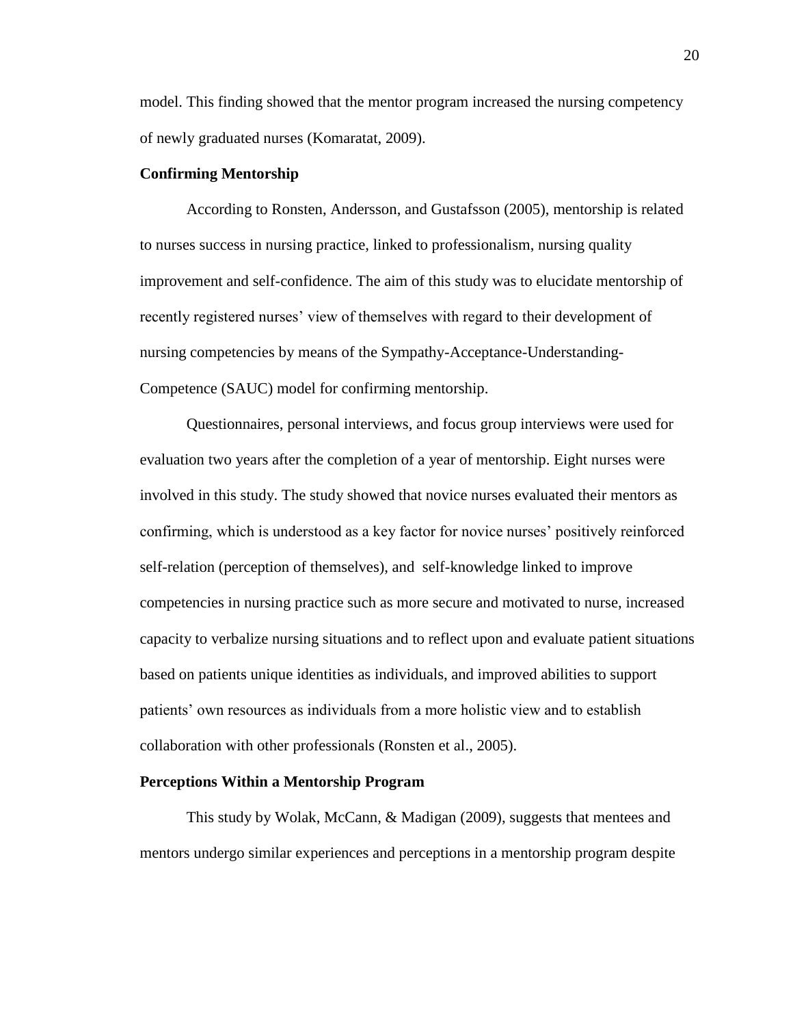model. This finding showed that the mentor program increased the nursing competency of newly graduated nurses (Komaratat, 2009).

#### **Confirming Mentorship**

 According to Ronsten, Andersson, and Gustafsson (2005), mentorship is related to nurses success in nursing practice, linked to professionalism, nursing quality improvement and self-confidence. The aim of this study was to elucidate mentorship of recently registered nurses' view of themselves with regard to their development of nursing competencies by means of the Sympathy-Acceptance-Understanding-Competence (SAUC) model for confirming mentorship.

Questionnaires, personal interviews, and focus group interviews were used for evaluation two years after the completion of a year of mentorship. Eight nurses were involved in this study. The study showed that novice nurses evaluated their mentors as confirming, which is understood as a key factor for novice nurses' positively reinforced self-relation (perception of themselves), and self-knowledge linked to improve competencies in nursing practice such as more secure and motivated to nurse, increased capacity to verbalize nursing situations and to reflect upon and evaluate patient situations based on patients unique identities as individuals, and improved abilities to support patients' own resources as individuals from a more holistic view and to establish collaboration with other professionals (Ronsten et al., 2005).

#### **Perceptions Within a Mentorship Program**

This study by Wolak, McCann, & Madigan (2009), suggests that mentees and mentors undergo similar experiences and perceptions in a mentorship program despite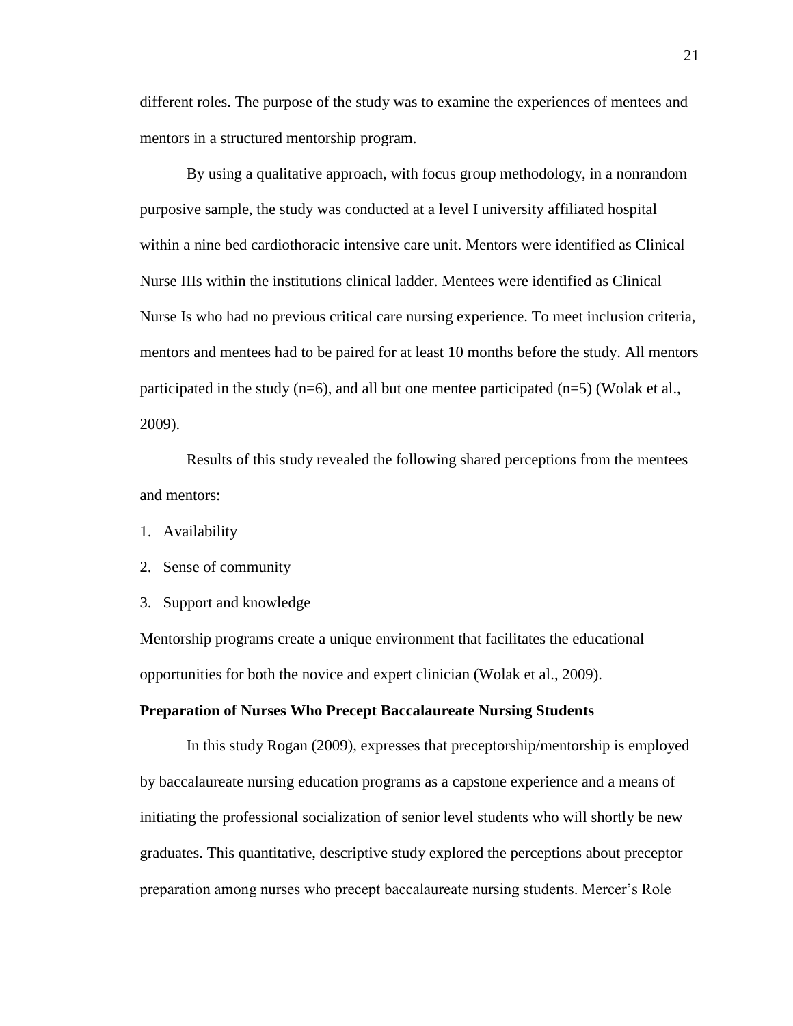different roles. The purpose of the study was to examine the experiences of mentees and mentors in a structured mentorship program.

 By using a qualitative approach, with focus group methodology, in a nonrandom purposive sample, the study was conducted at a level I university affiliated hospital within a nine bed cardiothoracic intensive care unit. Mentors were identified as Clinical Nurse IIIs within the institutions clinical ladder. Mentees were identified as Clinical Nurse Is who had no previous critical care nursing experience. To meet inclusion criteria, mentors and mentees had to be paired for at least 10 months before the study. All mentors participated in the study (n=6), and all but one mentee participated (n=5) (Wolak et al., 2009).

 Results of this study revealed the following shared perceptions from the mentees and mentors:

- 1. Availability
- 2. Sense of community
- 3. Support and knowledge

Mentorship programs create a unique environment that facilitates the educational opportunities for both the novice and expert clinician (Wolak et al., 2009).

#### **Preparation of Nurses Who Precept Baccalaureate Nursing Students**

In this study Rogan (2009), expresses that preceptorship/mentorship is employed by baccalaureate nursing education programs as a capstone experience and a means of initiating the professional socialization of senior level students who will shortly be new graduates. This quantitative, descriptive study explored the perceptions about preceptor preparation among nurses who precept baccalaureate nursing students. Mercer's Role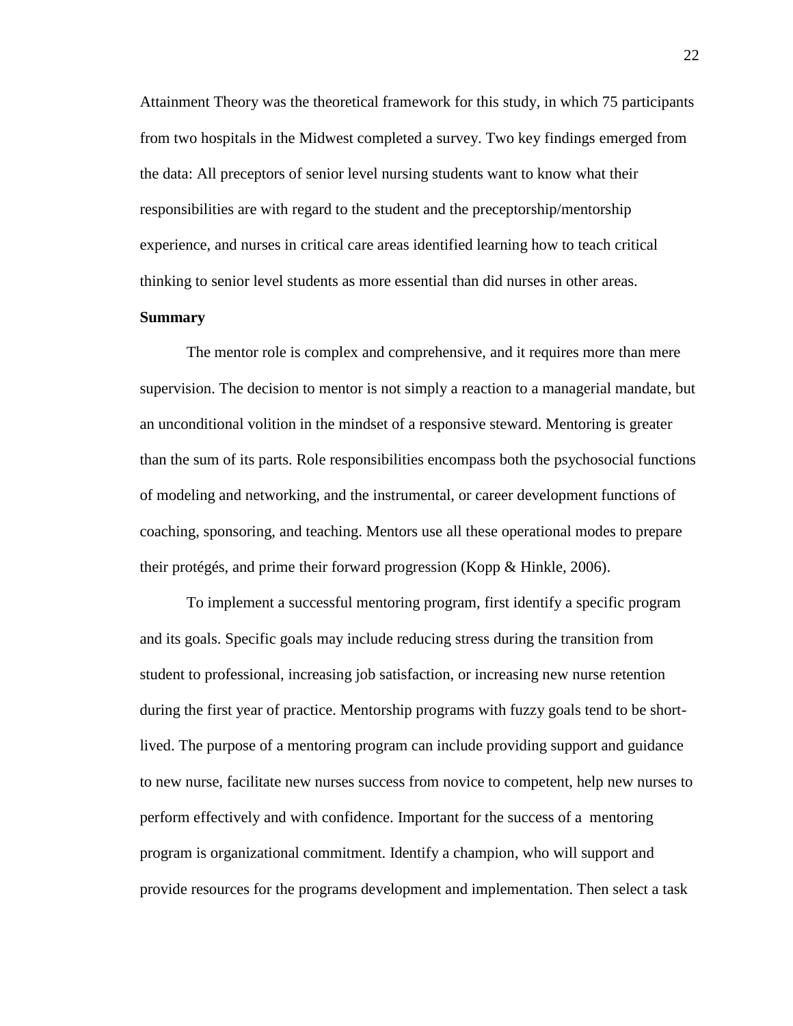Attainment Theory was the theoretical framework for this study, in which 75 participants from two hospitals in the Midwest completed a survey. Two key findings emerged from the data: All preceptors of senior level nursing students want to know what their responsibilities are with regard to the student and the preceptorship/mentorship experience, and nurses in critical care areas identified learning how to teach critical thinking to senior level students as more essential than did nurses in other areas.

#### **Summary**

 The mentor role is complex and comprehensive, and it requires more than mere supervision. The decision to mentor is not simply a reaction to a managerial mandate, but an unconditional volition in the mindset of a responsive steward. Mentoring is greater than the sum of its parts. Role responsibilities encompass both the psychosocial functions of modeling and networking, and the instrumental, or career development functions of coaching, sponsoring, and teaching. Mentors use all these operational modes to prepare their protégés, and prime their forward progression (Kopp & Hinkle, 2006).

 To implement a successful mentoring program, first identify a specific program and its goals. Specific goals may include reducing stress during the transition from student to professional, increasing job satisfaction, or increasing new nurse retention during the first year of practice. Mentorship programs with fuzzy goals tend to be shortlived. The purpose of a mentoring program can include providing support and guidance to new nurse, facilitate new nurses success from novice to competent, help new nurses to perform effectively and with confidence. Important for the success of a mentoring program is organizational commitment. Identify a champion, who will support and provide resources for the programs development and implementation. Then select a task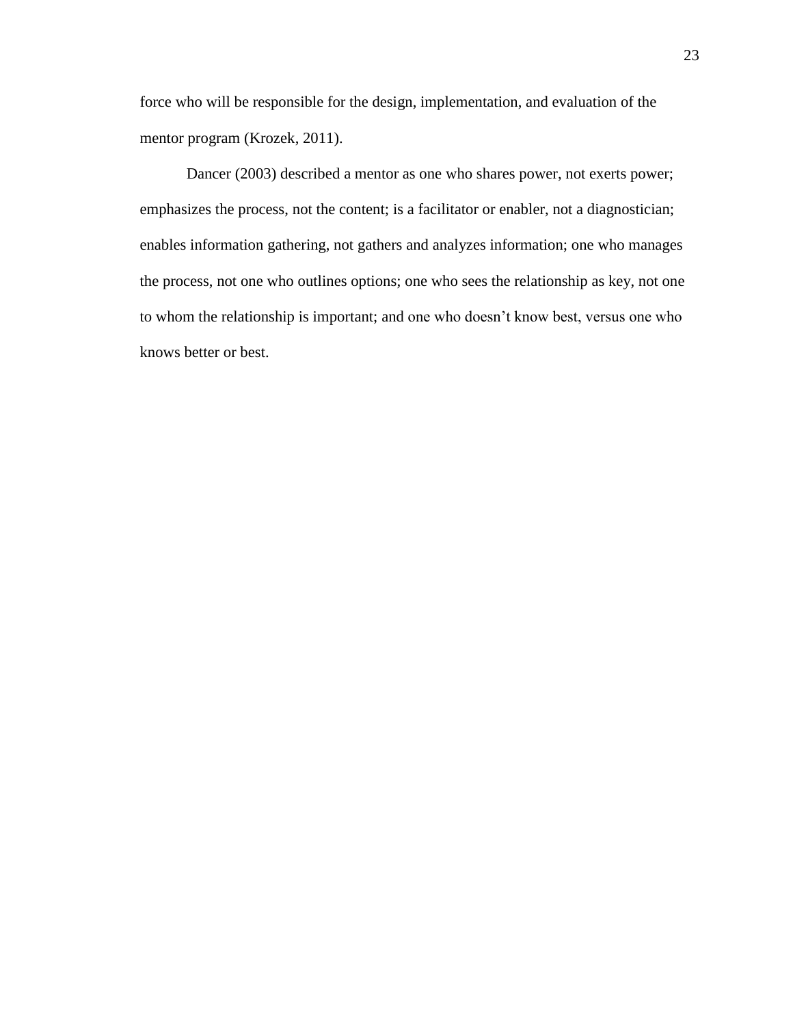force who will be responsible for the design, implementation, and evaluation of the mentor program (Krozek, 2011).

 Dancer (2003) described a mentor as one who shares power, not exerts power; emphasizes the process, not the content; is a facilitator or enabler, not a diagnostician; enables information gathering, not gathers and analyzes information; one who manages the process, not one who outlines options; one who sees the relationship as key, not one to whom the relationship is important; and one who doesn't know best, versus one who knows better or best.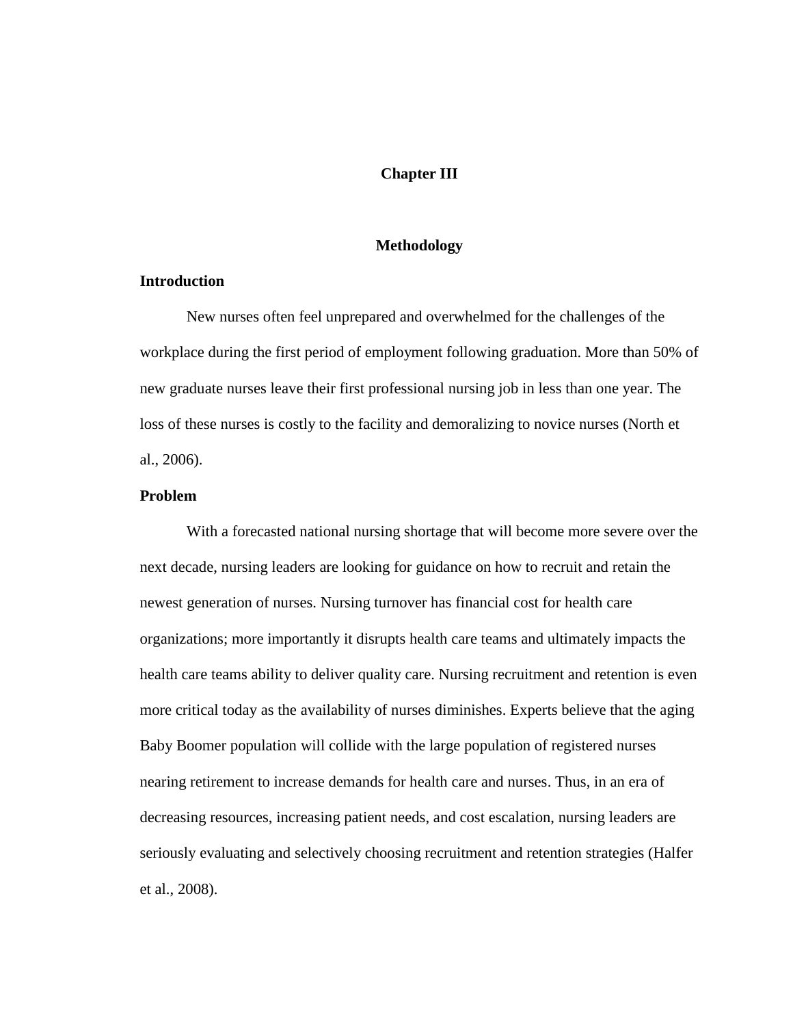## **Chapter III**

#### **Methodology**

## **Introduction**

 New nurses often feel unprepared and overwhelmed for the challenges of the workplace during the first period of employment following graduation. More than 50% of new graduate nurses leave their first professional nursing job in less than one year. The loss of these nurses is costly to the facility and demoralizing to novice nurses (North et al., 2006).

### **Problem**

 With a forecasted national nursing shortage that will become more severe over the next decade, nursing leaders are looking for guidance on how to recruit and retain the newest generation of nurses. Nursing turnover has financial cost for health care organizations; more importantly it disrupts health care teams and ultimately impacts the health care teams ability to deliver quality care. Nursing recruitment and retention is even more critical today as the availability of nurses diminishes. Experts believe that the aging Baby Boomer population will collide with the large population of registered nurses nearing retirement to increase demands for health care and nurses. Thus, in an era of decreasing resources, increasing patient needs, and cost escalation, nursing leaders are seriously evaluating and selectively choosing recruitment and retention strategies (Halfer et al., 2008).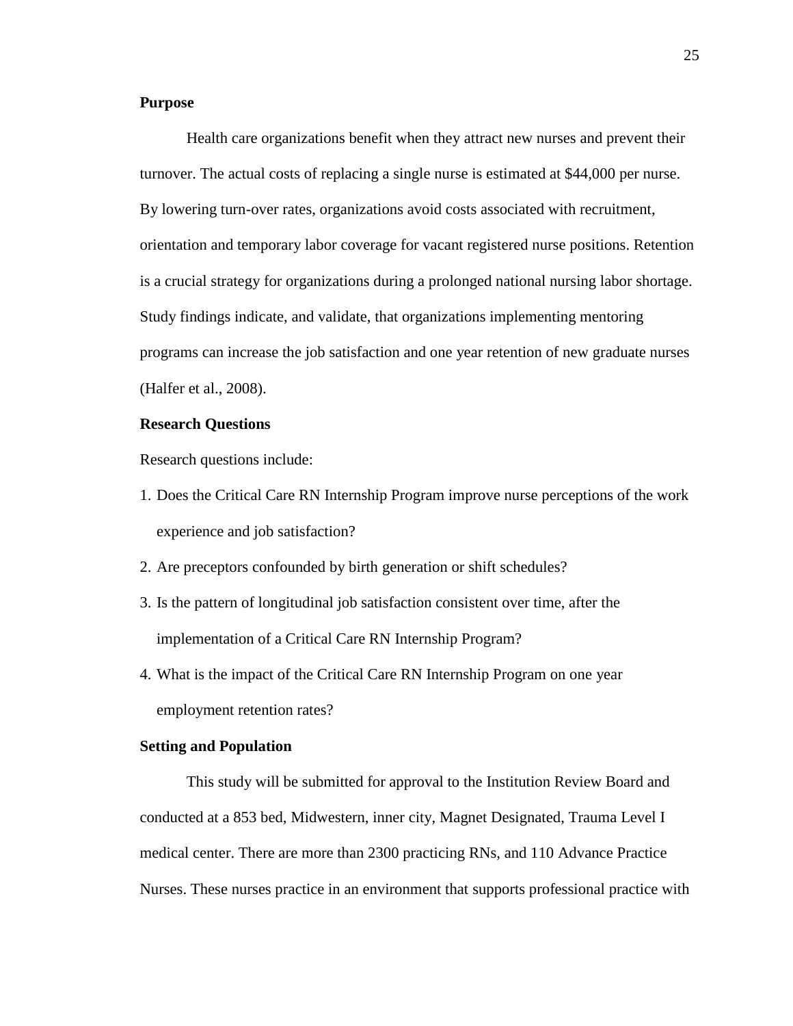### **Purpose**

 Health care organizations benefit when they attract new nurses and prevent their turnover. The actual costs of replacing a single nurse is estimated at \$44,000 per nurse. By lowering turn-over rates, organizations avoid costs associated with recruitment, orientation and temporary labor coverage for vacant registered nurse positions. Retention is a crucial strategy for organizations during a prolonged national nursing labor shortage. Study findings indicate, and validate, that organizations implementing mentoring programs can increase the job satisfaction and one year retention of new graduate nurses (Halfer et al., 2008).

## **Research Questions**

Research questions include:

- 1. Does the Critical Care RN Internship Program improve nurse perceptions of the work experience and job satisfaction?
- 2. Are preceptors confounded by birth generation or shift schedules?
- 3. Is the pattern of longitudinal job satisfaction consistent over time, after the implementation of a Critical Care RN Internship Program?
- 4. What is the impact of the Critical Care RN Internship Program on one year employment retention rates?

#### **Setting and Population**

 This study will be submitted for approval to the Institution Review Board and conducted at a 853 bed, Midwestern, inner city, Magnet Designated, Trauma Level I medical center. There are more than 2300 practicing RNs, and 110 Advance Practice Nurses. These nurses practice in an environment that supports professional practice with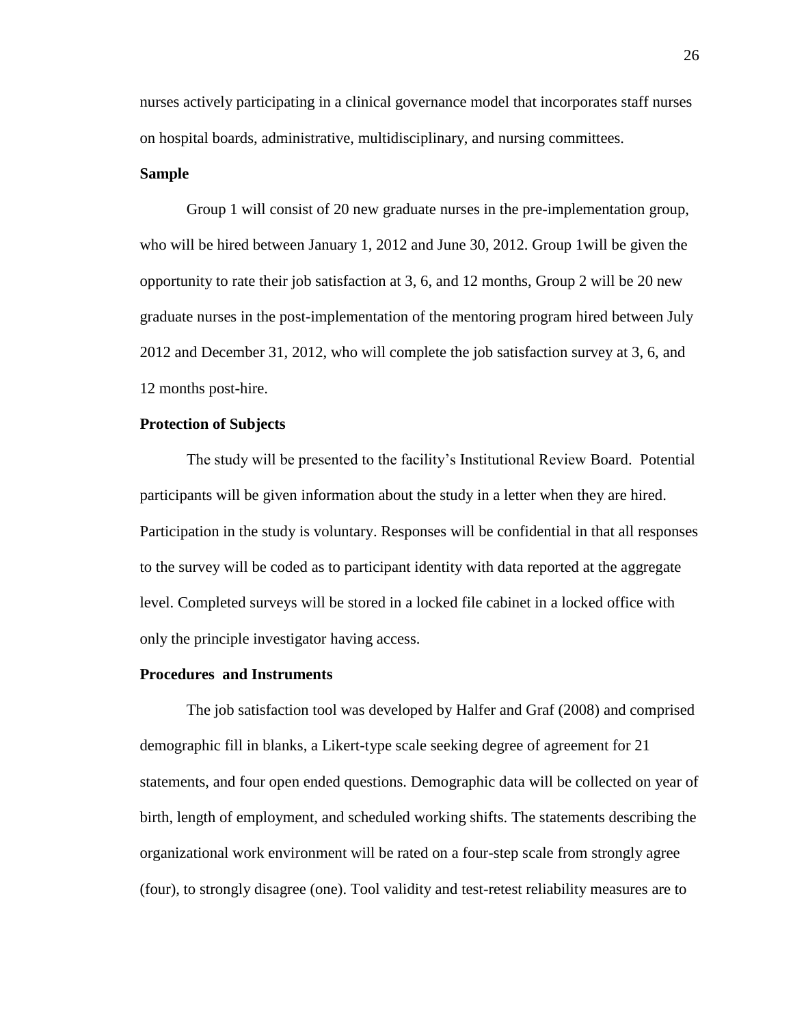nurses actively participating in a clinical governance model that incorporates staff nurses on hospital boards, administrative, multidisciplinary, and nursing committees.

### **Sample**

 Group 1 will consist of 20 new graduate nurses in the pre-implementation group, who will be hired between January 1, 2012 and June 30, 2012. Group 1will be given the opportunity to rate their job satisfaction at 3, 6, and 12 months, Group 2 will be 20 new graduate nurses in the post-implementation of the mentoring program hired between July 2012 and December 31, 2012, who will complete the job satisfaction survey at 3, 6, and 12 months post-hire.

## **Protection of Subjects**

 The study will be presented to the facility's Institutional Review Board. Potential participants will be given information about the study in a letter when they are hired. Participation in the study is voluntary. Responses will be confidential in that all responses to the survey will be coded as to participant identity with data reported at the aggregate level. Completed surveys will be stored in a locked file cabinet in a locked office with only the principle investigator having access.

#### **Procedures and Instruments**

 The job satisfaction tool was developed by Halfer and Graf (2008) and comprised demographic fill in blanks, a Likert-type scale seeking degree of agreement for 21 statements, and four open ended questions. Demographic data will be collected on year of birth, length of employment, and scheduled working shifts. The statements describing the organizational work environment will be rated on a four-step scale from strongly agree (four), to strongly disagree (one). Tool validity and test-retest reliability measures are to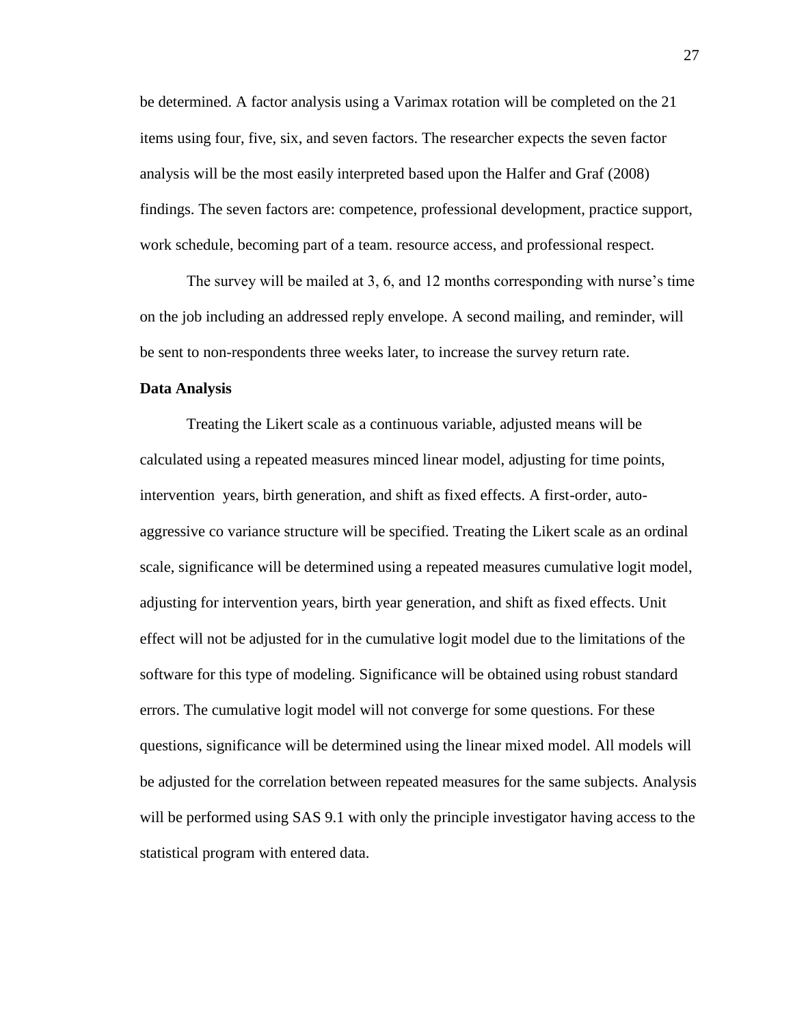be determined. A factor analysis using a Varimax rotation will be completed on the 21 items using four, five, six, and seven factors. The researcher expects the seven factor analysis will be the most easily interpreted based upon the Halfer and Graf (2008) findings. The seven factors are: competence, professional development, practice support, work schedule, becoming part of a team. resource access, and professional respect.

 The survey will be mailed at 3, 6, and 12 months corresponding with nurse's time on the job including an addressed reply envelope. A second mailing, and reminder, will be sent to non-respondents three weeks later, to increase the survey return rate.

#### **Data Analysis**

 Treating the Likert scale as a continuous variable, adjusted means will be calculated using a repeated measures minced linear model, adjusting for time points, intervention years, birth generation, and shift as fixed effects. A first-order, autoaggressive co variance structure will be specified. Treating the Likert scale as an ordinal scale, significance will be determined using a repeated measures cumulative logit model, adjusting for intervention years, birth year generation, and shift as fixed effects. Unit effect will not be adjusted for in the cumulative logit model due to the limitations of the software for this type of modeling. Significance will be obtained using robust standard errors. The cumulative logit model will not converge for some questions. For these questions, significance will be determined using the linear mixed model. All models will be adjusted for the correlation between repeated measures for the same subjects. Analysis will be performed using SAS 9.1 with only the principle investigator having access to the statistical program with entered data.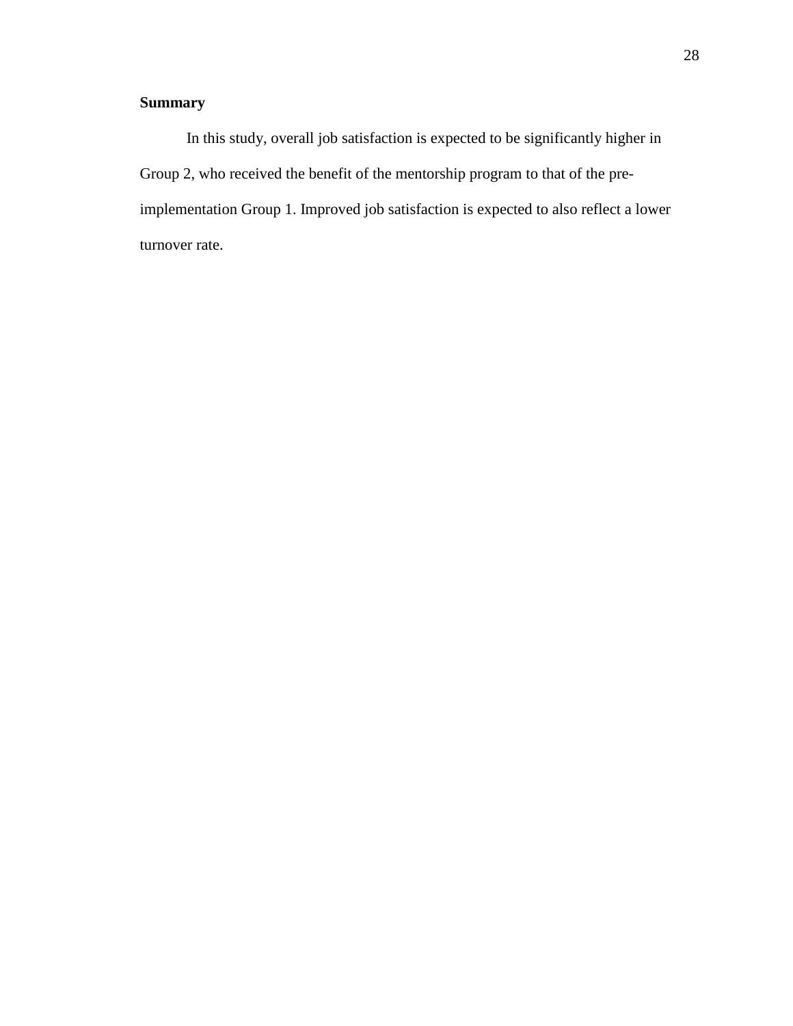# **Summary**

 In this study, overall job satisfaction is expected to be significantly higher in Group 2, who received the benefit of the mentorship program to that of the preimplementation Group 1. Improved job satisfaction is expected to also reflect a lower turnover rate.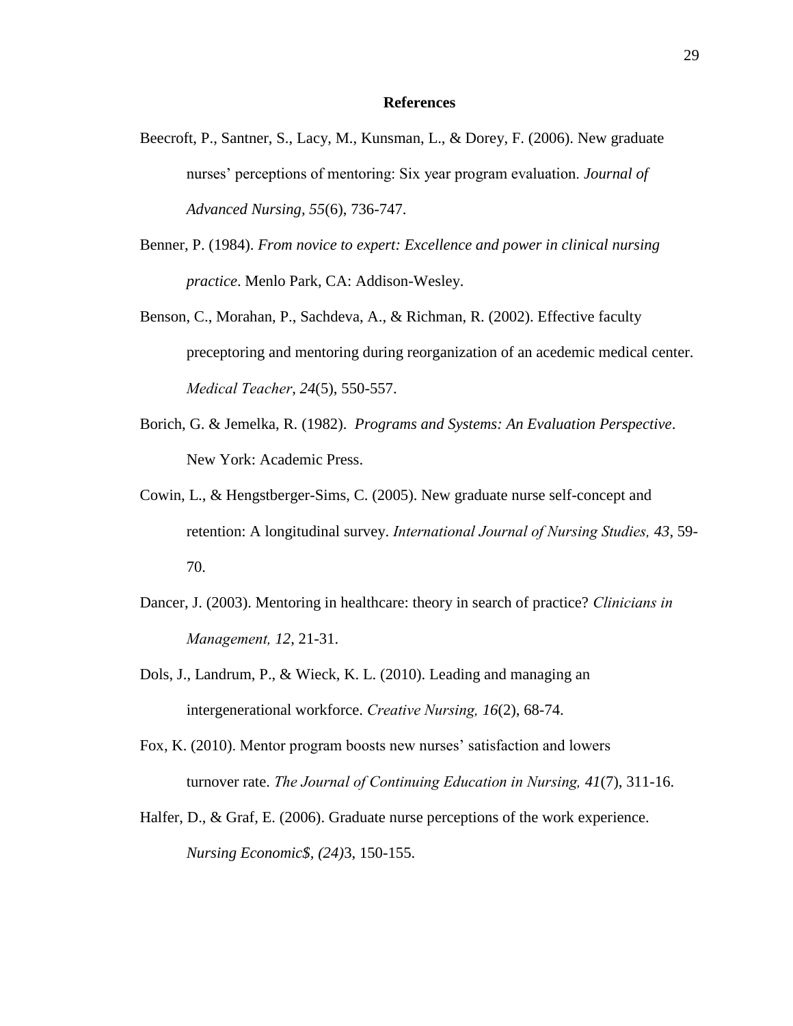#### **References**

- Beecroft, P., Santner, S., Lacy, M., Kunsman, L., & Dorey, F. (2006). New graduate nurses' perceptions of mentoring: Six year program evaluation. *Journal of Advanced Nursing, 55*(6), 736-747.
- Benner, P. (1984). *From novice to expert: Excellence and power in clinical nursing practice*. Menlo Park, CA: Addison-Wesley.
- Benson, C., Morahan, P., Sachdeva, A., & Richman, R. (2002). Effective faculty preceptoring and mentoring during reorganization of an acedemic medical center. *Medical Teacher, 24*(5), 550-557.
- Borich, G. & Jemelka, R. (1982). *Programs and Systems: An Evaluation Perspective*. New York: Academic Press.
- Cowin, L., & Hengstberger-Sims, C. (2005). New graduate nurse self-concept and retention: A longitudinal survey. *International Journal of Nursing Studies, 43*, 59- 70.
- Dancer, J. (2003). Mentoring in healthcare: theory in search of practice? *Clinicians in Management, 12*, 21-31.
- Dols, J., Landrum, P., & Wieck, K. L. (2010). Leading and managing an intergenerational workforce. *Creative Nursing, 16*(2), 68-74.
- Fox, K. (2010). Mentor program boosts new nurses' satisfaction and lowers turnover rate. *The Journal of Continuing Education in Nursing, 41*(7), 311-16.
- Halfer, D., & Graf, E. (2006). Graduate nurse perceptions of the work experience. *Nursing Economic\$, (24)*3, 150-155.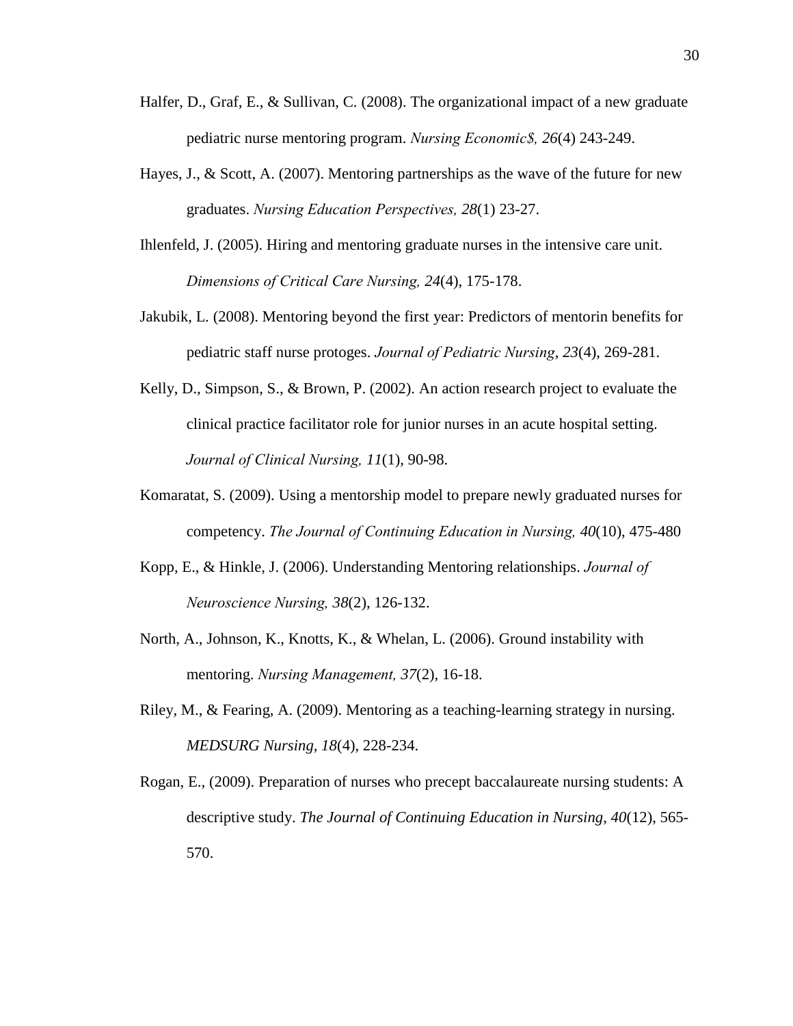- Halfer, D., Graf, E., & Sullivan, C. (2008). The organizational impact of a new graduate pediatric nurse mentoring program. *Nursing Economic\$, 26*(4) 243-249.
- Hayes, J., & Scott, A. (2007). Mentoring partnerships as the wave of the future for new graduates. *Nursing Education Perspectives, 28*(1) 23-27.
- Ihlenfeld, J. (2005). Hiring and mentoring graduate nurses in the intensive care unit. *Dimensions of Critical Care Nursing, 24*(4), 175-178.
- Jakubik, L. (2008). Mentoring beyond the first year: Predictors of mentorin benefits for pediatric staff nurse protoges. *Journal of Pediatric Nursing*, *23*(4), 269-281.
- Kelly, D., Simpson, S., & Brown, P. (2002). An action research project to evaluate the clinical practice facilitator role for junior nurses in an acute hospital setting. *Journal of Clinical Nursing, 11*(1), 90-98.
- Komaratat, S. (2009). Using a mentorship model to prepare newly graduated nurses for competency. *The Journal of Continuing Education in Nursing, 40*(10), 475-480
- Kopp, E., & Hinkle, J. (2006). Understanding Mentoring relationships. *Journal of Neuroscience Nursing, 38*(2), 126-132.
- North, A., Johnson, K., Knotts, K., & Whelan, L. (2006). Ground instability with mentoring. *Nursing Management, 37*(2), 16-18.
- Riley, M., & Fearing, A. (2009). Mentoring as a teaching-learning strategy in nursing. *MEDSURG Nursing, 18*(4), 228-234.
- Rogan, E., (2009). Preparation of nurses who precept baccalaureate nursing students: A descriptive study. *The Journal of Continuing Education in Nursing, 40*(12), 565- 570.